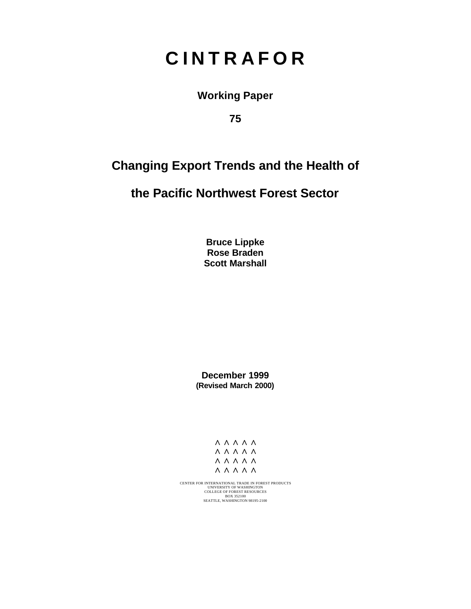# **C I N T R A F O R**

**Working Paper**

**75**

## **Changing Export Trends and the Health of**

## **the Pacific Northwest Forest Sector**

**Bruce Lippke Rose Braden Scott Marshall**

**December 1999 (Revised March 2000)**



CENTER FOR INTERNATIONAL TRADE IN FOREST PRODUCTS<br>COLLEGE OF FOREST RESOURCES<br>BOX 352100<br>BOX 352100<br>SEATTLE, WASHINGTON 98195-2100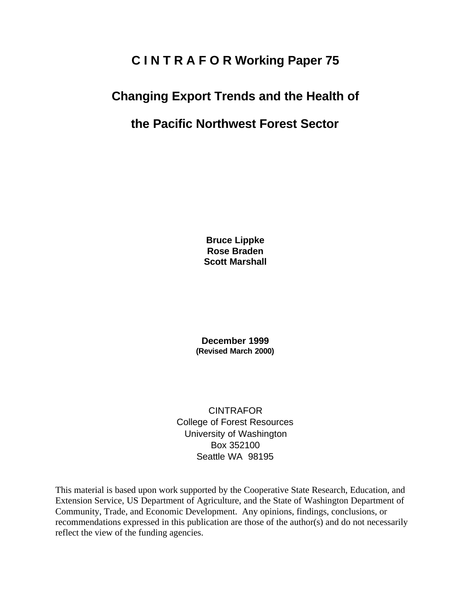## **C I N T R A F O R Working Paper 75**

## **Changing Export Trends and the Health of**

## **the Pacific Northwest Forest Sector**

**Bruce Lippke Rose Braden Scott Marshall**

**December 1999 (Revised March 2000)**

**CINTRAFOR** College of Forest Resources University of Washington Box 352100 Seattle WA 98195

This material is based upon work supported by the Cooperative State Research, Education, and Extension Service, US Department of Agriculture, and the State of Washington Department of Community, Trade, and Economic Development. Any opinions, findings, conclusions, or recommendations expressed in this publication are those of the author(s) and do not necessarily reflect the view of the funding agencies.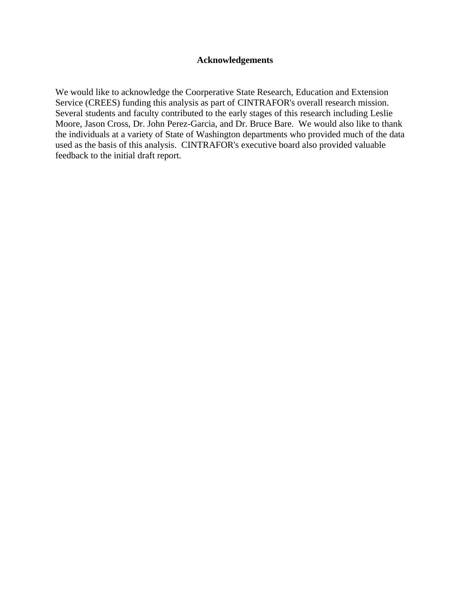### **Acknowledgements**

We would like to acknowledge the Coorperative State Research, Education and Extension Service (CREES) funding this analysis as part of CINTRAFOR's overall research mission. Several students and faculty contributed to the early stages of this research including Leslie Moore, Jason Cross, Dr. John Perez-Garcia, and Dr. Bruce Bare. We would also like to thank the individuals at a variety of State of Washington departments who provided much of the data used as the basis of this analysis. CINTRAFOR's executive board also provided valuable feedback to the initial draft report.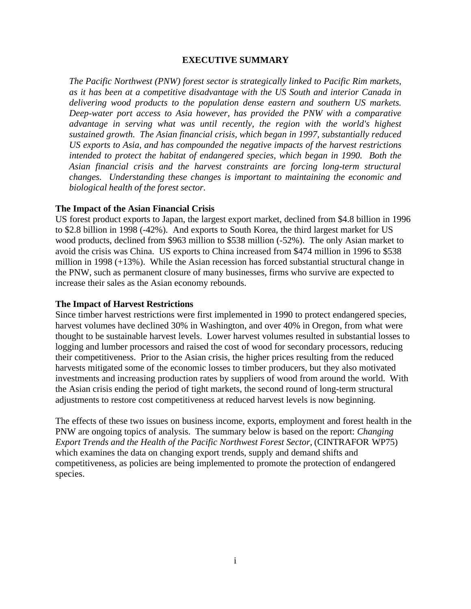#### **EXECUTIVE SUMMARY**

*The Pacific Northwest (PNW) forest sector is strategically linked to Pacific Rim markets, as it has been at a competitive disadvantage with the US South and interior Canada in delivering wood products to the population dense eastern and southern US markets. Deep-water port access to Asia however, has provided the PNW with a comparative advantage in serving what was until recently, the region with the world's highest sustained growth. The Asian financial crisis, which began in 1997, substantially reduced US exports to Asia, and has compounded the negative impacts of the harvest restrictions intended to protect the habitat of endangered species, which began in 1990. Both the Asian financial crisis and the harvest constraints are forcing long-term structural changes. Understanding these changes is important to maintaining the economic and biological health of the forest sector.*

#### **The Impact of the Asian Financial Crisis**

US forest product exports to Japan, the largest export market, declined from \$4.8 billion in 1996 to \$2.8 billion in 1998 (-42%). And exports to South Korea, the third largest market for US wood products, declined from \$963 million to \$538 million (-52%). The only Asian market to avoid the crisis was China. US exports to China increased from \$474 million in 1996 to \$538 million in 1998 (+13%). While the Asian recession has forced substantial structural change in the PNW, such as permanent closure of many businesses, firms who survive are expected to increase their sales as the Asian economy rebounds.

#### **The Impact of Harvest Restrictions**

Since timber harvest restrictions were first implemented in 1990 to protect endangered species, harvest volumes have declined 30% in Washington, and over 40% in Oregon, from what were thought to be sustainable harvest levels. Lower harvest volumes resulted in substantial losses to logging and lumber processors and raised the cost of wood for secondary processors, reducing their competitiveness. Prior to the Asian crisis, the higher prices resulting from the reduced harvests mitigated some of the economic losses to timber producers, but they also motivated investments and increasing production rates by suppliers of wood from around the world. With the Asian crisis ending the period of tight markets, the second round of long-term structural adjustments to restore cost competitiveness at reduced harvest levels is now beginning.

The effects of these two issues on business income, exports, employment and forest health in the PNW are ongoing topics of analysis. The summary below is based on the report: *Changing Export Trends and the Health of the Pacific Northwest Forest Sector*, (CINTRAFOR WP75) which examines the data on changing export trends, supply and demand shifts and competitiveness, as policies are being implemented to promote the protection of endangered species.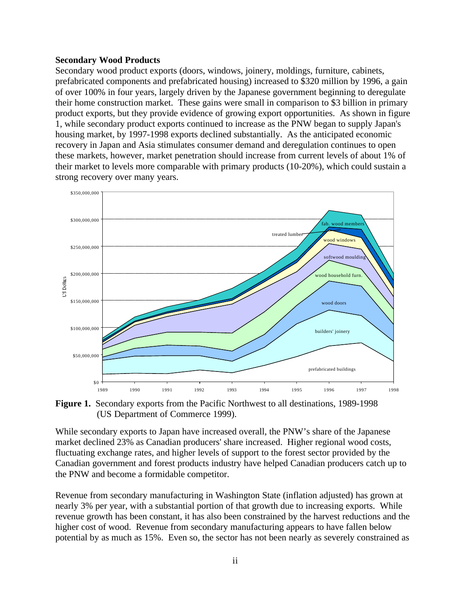#### **Secondary Wood Products**

Secondary wood product exports (doors, windows, joinery, moldings, furniture, cabinets, prefabricated components and prefabricated housing) increased to \$320 million by 1996, a gain of over 100% in four years, largely driven by the Japanese government beginning to deregulate their home construction market. These gains were small in comparison to \$3 billion in primary product exports, but they provide evidence of growing export opportunities. As shown in figure 1, while secondary product exports continued to increase as the PNW began to supply Japan's housing market, by 1997-1998 exports declined substantially. As the anticipated economic recovery in Japan and Asia stimulates consumer demand and deregulation continues to open these markets, however, market penetration should increase from current levels of about 1% of their market to levels more comparable with primary products (10-20%), which could sustain a strong recovery over many years.



**Figure 1.** Secondary exports from the Pacific Northwest to all destinations, 1989-1998 (US Department of Commerce 1999).

While secondary exports to Japan have increased overall, the PNW's share of the Japanese market declined 23% as Canadian producers' share increased. Higher regional wood costs, fluctuating exchange rates, and higher levels of support to the forest sector provided by the Canadian government and forest products industry have helped Canadian producers catch up to the PNW and become a formidable competitor.

Revenue from secondary manufacturing in Washington State (inflation adjusted) has grown at nearly 3% per year, with a substantial portion of that growth due to increasing exports. While revenue growth has been constant, it has also been constrained by the harvest reductions and the higher cost of wood. Revenue from secondary manufacturing appears to have fallen below potential by as much as 15%. Even so, the sector has not been nearly as severely constrained as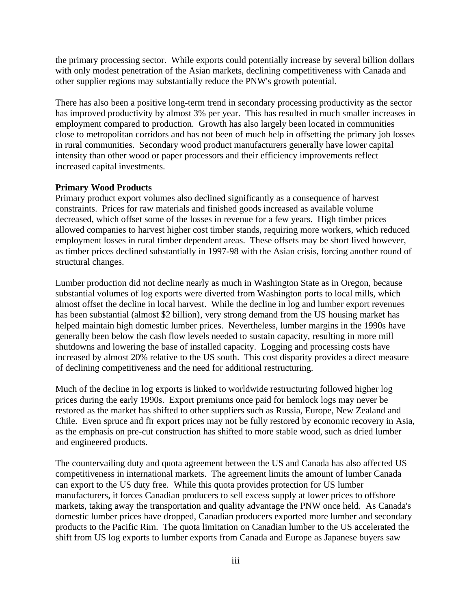the primary processing sector. While exports could potentially increase by several billion dollars with only modest penetration of the Asian markets, declining competitiveness with Canada and other supplier regions may substantially reduce the PNW's growth potential.

There has also been a positive long-term trend in secondary processing productivity as the sector has improved productivity by almost 3% per year. This has resulted in much smaller increases in employment compared to production. Growth has also largely been located in communities close to metropolitan corridors and has not been of much help in offsetting the primary job losses in rural communities. Secondary wood product manufacturers generally have lower capital intensity than other wood or paper processors and their efficiency improvements reflect increased capital investments.

## **Primary Wood Products**

Primary product export volumes also declined significantly as a consequence of harvest constraints. Prices for raw materials and finished goods increased as available volume decreased, which offset some of the losses in revenue for a few years. High timber prices allowed companies to harvest higher cost timber stands, requiring more workers, which reduced employment losses in rural timber dependent areas. These offsets may be short lived however, as timber prices declined substantially in 1997-98 with the Asian crisis, forcing another round of structural changes.

Lumber production did not decline nearly as much in Washington State as in Oregon, because substantial volumes of log exports were diverted from Washington ports to local mills, which almost offset the decline in local harvest. While the decline in log and lumber export revenues has been substantial (almost \$2 billion), very strong demand from the US housing market has helped maintain high domestic lumber prices. Nevertheless, lumber margins in the 1990s have generally been below the cash flow levels needed to sustain capacity, resulting in more mill shutdowns and lowering the base of installed capacity. Logging and processing costs have increased by almost 20% relative to the US south. This cost disparity provides a direct measure of declining competitiveness and the need for additional restructuring.

Much of the decline in log exports is linked to worldwide restructuring followed higher log prices during the early 1990s. Export premiums once paid for hemlock logs may never be restored as the market has shifted to other suppliers such as Russia, Europe, New Zealand and Chile. Even spruce and fir export prices may not be fully restored by economic recovery in Asia, as the emphasis on pre-cut construction has shifted to more stable wood, such as dried lumber and engineered products.

The countervailing duty and quota agreement between the US and Canada has also affected US competitiveness in international markets. The agreement limits the amount of lumber Canada can export to the US duty free. While this quota provides protection for US lumber manufacturers, it forces Canadian producers to sell excess supply at lower prices to offshore markets, taking away the transportation and quality advantage the PNW once held. As Canada's domestic lumber prices have dropped, Canadian producers exported more lumber and secondary products to the Pacific Rim. The quota limitation on Canadian lumber to the US accelerated the shift from US log exports to lumber exports from Canada and Europe as Japanese buyers saw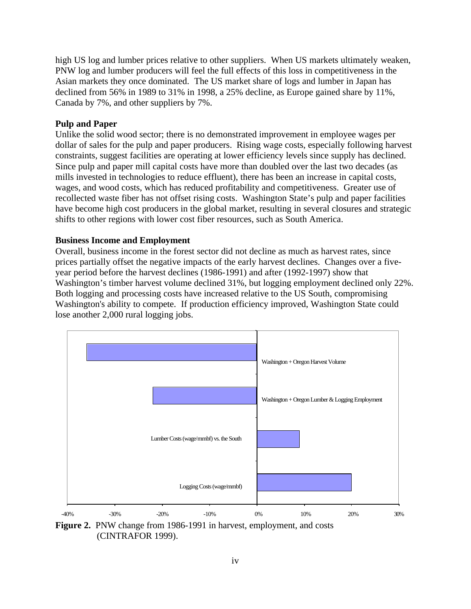high US log and lumber prices relative to other suppliers. When US markets ultimately weaken, PNW log and lumber producers will feel the full effects of this loss in competitiveness in the Asian markets they once dominated. The US market share of logs and lumber in Japan has declined from 56% in 1989 to 31% in 1998, a 25% decline, as Europe gained share by 11%, Canada by 7%, and other suppliers by 7%.

### **Pulp and Paper**

Unlike the solid wood sector; there is no demonstrated improvement in employee wages per dollar of sales for the pulp and paper producers. Rising wage costs, especially following harvest constraints, suggest facilities are operating at lower efficiency levels since supply has declined. Since pulp and paper mill capital costs have more than doubled over the last two decades (as mills invested in technologies to reduce effluent), there has been an increase in capital costs, wages, and wood costs, which has reduced profitability and competitiveness. Greater use of recollected waste fiber has not offset rising costs. Washington State's pulp and paper facilities have become high cost producers in the global market, resulting in several closures and strategic shifts to other regions with lower cost fiber resources, such as South America.

### **Business Income and Employment**

Overall, business income in the forest sector did not decline as much as harvest rates, since prices partially offset the negative impacts of the early harvest declines. Changes over a fiveyear period before the harvest declines (1986-1991) and after (1992-1997) show that Washington's timber harvest volume declined 31%, but logging employment declined only 22%. Both logging and processing costs have increased relative to the US South, compromising Washington's ability to compete. If production efficiency improved, Washington State could lose another 2,000 rural logging jobs.



**Figure 2.** PNW change from 1986-1991 in harvest, employment, and costs (CINTRAFOR 1999).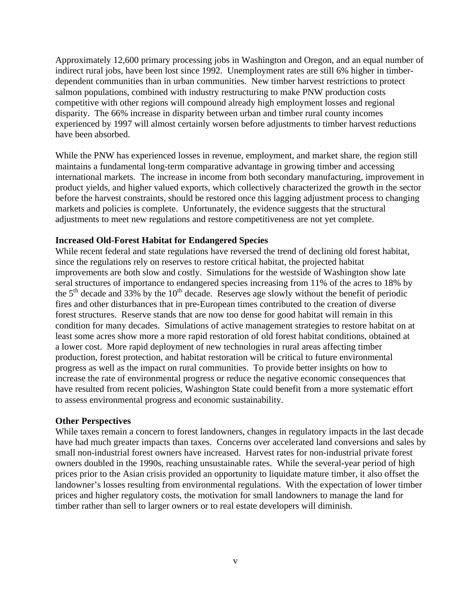Approximately 12,600 primary processing jobs in Washington and Oregon, and an equal number of indirect rural jobs, have been lost since 1992. Unemployment rates are still 6% higher in timberdependent communities than in urban communities. New timber harvest restrictions to protect salmon populations, combined with industry restructuring to make PNW production costs competitive with other regions will compound already high employment losses and regional disparity. The 66% increase in disparity between urban and timber rural county incomes experienced by 1997 will almost certainly worsen before adjustments to timber harvest reductions have been absorbed.

While the PNW has experienced losses in revenue, employment, and market share, the region still maintains a fundamental long-term comparative advantage in growing timber and accessing international markets. The increase in income from both secondary manufacturing, improvement in product yields, and higher valued exports, which collectively characterized the growth in the sector before the harvest constraints, should be restored once this lagging adjustment process to changing markets and policies is complete. Unfortunately, the evidence suggests that the structural adjustments to meet new regulations and restore competitiveness are not yet complete.

### **Increased Old-Forest Habitat for Endangered Species**

While recent federal and state regulations have reversed the trend of declining old forest habitat, since the regulations rely on reserves to restore critical habitat, the projected habitat improvements are both slow and costly. Simulations for the westside of Washington show late seral structures of importance to endangered species increasing from 11% of the acres to 18% by the  $5<sup>th</sup>$  decade and 33% by the  $10<sup>th</sup>$  decade. Reserves age slowly without the benefit of periodic fires and other disturbances that in pre-European times contributed to the creation of diverse forest structures. Reserve stands that are now too dense for good habitat will remain in this condition for many decades. Simulations of active management strategies to restore habitat on at least some acres show more a more rapid restoration of old forest habitat conditions, obtained at a lower cost. More rapid deployment of new technologies in rural areas affecting timber production, forest protection, and habitat restoration will be critical to future environmental progress as well as the impact on rural communities. To provide better insights on how to increase the rate of environmental progress or reduce the negative economic consequences that have resulted from recent policies, Washington State could benefit from a more systematic effort to assess environmental progress and economic sustainability.

## **Other Perspectives**

While taxes remain a concern to forest landowners, changes in regulatory impacts in the last decade have had much greater impacts than taxes. Concerns over accelerated land conversions and sales by small non-industrial forest owners have increased. Harvest rates for non-industrial private forest owners doubled in the 1990s, reaching unsustainable rates. While the several-year period of high prices prior to the Asian crisis provided an opportunity to liquidate mature timber, it also offset the landowner's losses resulting from environmental regulations. With the expectation of lower timber prices and higher regulatory costs, the motivation for small landowners to manage the land for timber rather than sell to larger owners or to real estate developers will diminish.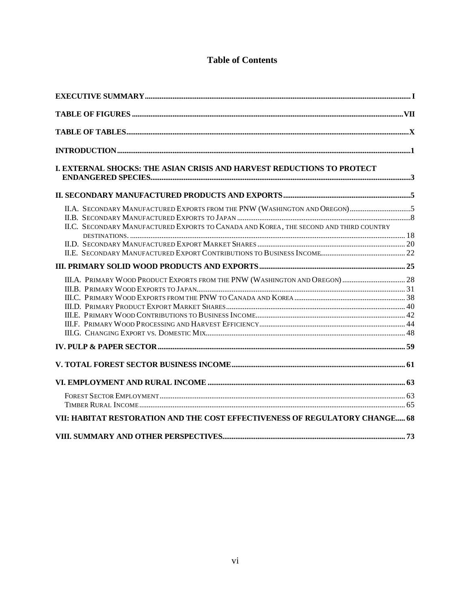## **Table of Contents**

| I. EXTERNAL SHOCKS: THE ASIAN CRISIS AND HARVEST REDUCTIONS TO PROTECT                                                                                               |  |
|----------------------------------------------------------------------------------------------------------------------------------------------------------------------|--|
|                                                                                                                                                                      |  |
| II.A. SECONDARY MANUFACTURED EXPORTS FROM THE PNW (WASHINGTON AND OREGON)5<br>II.C. SECONDARY MANUFACTURED EXPORTS TO CANADA AND KOREA, THE SECOND AND THIRD COUNTRY |  |
|                                                                                                                                                                      |  |
|                                                                                                                                                                      |  |
|                                                                                                                                                                      |  |
|                                                                                                                                                                      |  |
|                                                                                                                                                                      |  |
|                                                                                                                                                                      |  |
|                                                                                                                                                                      |  |
| VII: HABITAT RESTORATION AND THE COST EFFECTIVENESS OF REGULATORY CHANGE 68                                                                                          |  |
|                                                                                                                                                                      |  |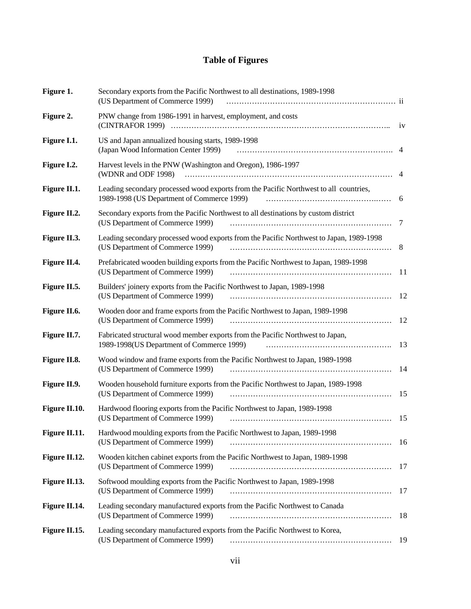## **Table of Figures**

| Figure 1.     | Secondary exports from the Pacific Northwest to all destinations, 1989-1998<br>(US Department of Commerce 1999)                     |                |
|---------------|-------------------------------------------------------------------------------------------------------------------------------------|----------------|
| Figure 2.     | PNW change from 1986-1991 in harvest, employment, and costs                                                                         | 1 <sup>V</sup> |
| Figure I.1.   | US and Japan annualized housing starts, 1989-1998<br>(Japan Wood Information Center 1999)                                           | -4             |
| Figure I.2.   | Harvest levels in the PNW (Washington and Oregon), 1986-1997<br>(WDNR and ODF 1998)                                                 | 4              |
| Figure II.1.  | Leading secondary processed wood exports from the Pacific Northwest to all countries,<br>1989-1998 (US Department of Commerce 1999) | 6              |
| Figure II.2.  | Secondary exports from the Pacific Northwest to all destinations by custom district<br>(US Department of Commerce 1999)             | 7              |
| Figure II.3.  | Leading secondary processed wood exports from the Pacific Northwest to Japan, 1989-1998<br>(US Department of Commerce 1999)         | 8              |
| Figure II.4.  | Prefabricated wooden building exports from the Pacific Northwest to Japan, 1989-1998<br>(US Department of Commerce 1999)            | -11            |
| Figure II.5.  | Builders' joinery exports from the Pacific Northwest to Japan, 1989-1998<br>(US Department of Commerce 1999)                        | 12             |
| Figure II.6.  | Wooden door and frame exports from the Pacific Northwest to Japan, 1989-1998<br>(US Department of Commerce 1999)                    | 12             |
| Figure II.7.  | Fabricated structural wood member exports from the Pacific Northwest to Japan,<br>1989-1998(US Department of Commerce 1999)         | 13             |
| Figure II.8.  | Wood window and frame exports from the Pacific Northwest to Japan, 1989-1998<br>(US Department of Commerce 1999)                    | -14            |
| Figure II.9.  | Wooden household furniture exports from the Pacific Northwest to Japan, 1989-1998<br>(US Department of Commerce 1999)               | 15             |
| Figure II.10. | Hardwood flooring exports from the Pacific Northwest to Japan, 1989-1998<br>(US Department of Commerce 1999)                        | 15             |
| Figure II.11. | Hardwood moulding exports from the Pacific Northwest to Japan, 1989-1998<br>(US Department of Commerce 1999)                        | 16             |
| Figure II.12. | Wooden kitchen cabinet exports from the Pacific Northwest to Japan, 1989-1998<br>(US Department of Commerce 1999)                   | 17             |
| Figure II.13. | Softwood moulding exports from the Pacific Northwest to Japan, 1989-1998<br>(US Department of Commerce 1999)                        | 17             |
| Figure II.14. | Leading secondary manufactured exports from the Pacific Northwest to Canada<br>(US Department of Commerce 1999)                     | 18             |
| Figure II.15. | Leading secondary manufactured exports from the Pacific Northwest to Korea,<br>(US Department of Commerce 1999)                     | 19             |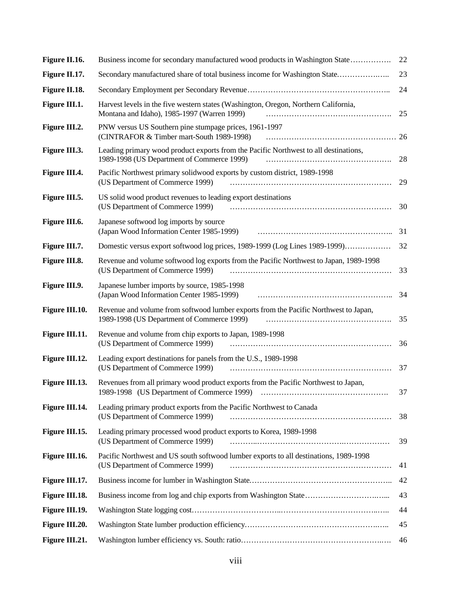| Figure II.16.  | Business income for secondary manufactured wood products in Washington State                                                       | 22 |
|----------------|------------------------------------------------------------------------------------------------------------------------------------|----|
| Figure II.17.  | Secondary manufactured share of total business income for Washington State                                                         | 23 |
| Figure II.18.  |                                                                                                                                    | 24 |
| Figure III.1.  | Harvest levels in the five western states (Washington, Oregon, Northern California,<br>Montana and Idaho), 1985-1997 (Warren 1999) | 25 |
| Figure III.2.  | PNW versus US Southern pine stumpage prices, 1961-1997<br>(CINTRAFOR & Timber mart-South 1989-1998)                                |    |
| Figure III.3.  | Leading primary wood product exports from the Pacific Northwest to all destinations,<br>1989-1998 (US Department of Commerce 1999) | 28 |
| Figure III.4.  | Pacific Northwest primary solidwood exports by custom district, 1989-1998<br>(US Department of Commerce 1999)                      | 29 |
| Figure III.5.  | US solid wood product revenues to leading export destinations<br>(US Department of Commerce 1999)                                  | 30 |
| Figure III.6.  | Japanese softwood log imports by source<br>(Japan Wood Information Center 1985-1999)                                               | 31 |
| Figure III.7.  | Domestic versus export softwood log prices, 1989-1999 (Log Lines 1989-1999)                                                        | 32 |
| Figure III.8.  | Revenue and volume softwood log exports from the Pacific Northwest to Japan, 1989-1998<br>(US Department of Commerce 1999)         | 33 |
| Figure III.9.  | Japanese lumber imports by source, 1985-1998<br>(Japan Wood Information Center 1985-1999)                                          | 34 |
| Figure III.10. | Revenue and volume from softwood lumber exports from the Pacific Northwest to Japan,<br>1989-1998 (US Department of Commerce 1999) | 35 |
| Figure III.11. | Revenue and volume from chip exports to Japan, 1989-1998<br>(US Department of Commerce 1999)                                       | 36 |
| Figure III.12. | Leading export destinations for panels from the U.S., 1989-1998<br>(US Department of Commerce 1999)                                | 37 |
| Figure III.13. | Revenues from all primary wood product exports from the Pacific Northwest to Japan,                                                | 37 |
| Figure III.14. | Leading primary product exports from the Pacific Northwest to Canada<br>(US Department of Commerce 1999)                           | 38 |
| Figure III.15. | Leading primary processed wood product exports to Korea, 1989-1998<br>(US Department of Commerce 1999)                             | 39 |
| Figure III.16. | Pacific Northwest and US south softwood lumber exports to all destinations, 1989-1998<br>(US Department of Commerce 1999)          | 41 |
| Figure III.17. |                                                                                                                                    | 42 |
| Figure III.18. |                                                                                                                                    | 43 |
| Figure III.19. |                                                                                                                                    | 44 |
| Figure III.20. |                                                                                                                                    | 45 |
| Figure III.21. |                                                                                                                                    | 46 |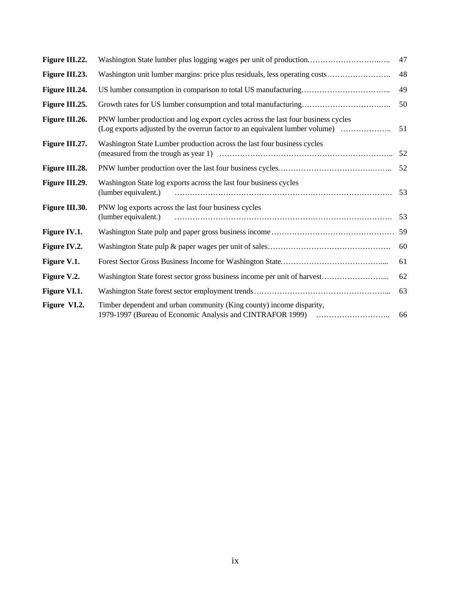| Figure III.22. | Washington State lumber plus logging wages per unit of production                                                                                               | 47 |
|----------------|-----------------------------------------------------------------------------------------------------------------------------------------------------------------|----|
| Figure III.23. | Washington unit lumber margins: price plus residuals, less operating costs                                                                                      | 48 |
| Figure III.24. |                                                                                                                                                                 | 49 |
| Figure III.25. |                                                                                                                                                                 | 50 |
| Figure III.26. | PNW lumber production and log export cycles across the last four business cycles<br>(Log exports adjusted by the overrun factor to an equivalent lumber volume) | 51 |
| Figure III.27. | Washington State Lumber production across the last four business cycles                                                                                         | 52 |
| Figure III.28. |                                                                                                                                                                 | 52 |
| Figure III.29. | Washington State log exports across the last four business cycles<br>(lumber equivalent.)                                                                       | 53 |
| Figure III.30. | PNW log exports across the last four business cycles<br>(lumber equivalent.)                                                                                    | 53 |
| Figure IV.1.   |                                                                                                                                                                 | 59 |
| Figure IV.2.   |                                                                                                                                                                 | 60 |
| Figure V.1.    |                                                                                                                                                                 | 61 |
| Figure V.2.    | Washington State forest sector gross business income per unit of harvest                                                                                        | 62 |
| Figure VI.1.   |                                                                                                                                                                 | 63 |
| Figure VI.2.   | Timber dependent and urban community (King county) income disparity,                                                                                            | 66 |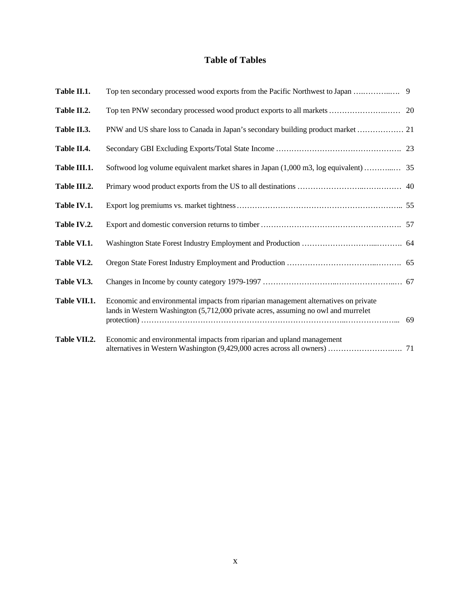## **Table of Tables**

| Table II.1.  |                                                                                                                                                                           |  |
|--------------|---------------------------------------------------------------------------------------------------------------------------------------------------------------------------|--|
| Table II.2.  |                                                                                                                                                                           |  |
| Table II.3.  |                                                                                                                                                                           |  |
| Table II.4.  |                                                                                                                                                                           |  |
| Table III.1. |                                                                                                                                                                           |  |
| Table III.2. |                                                                                                                                                                           |  |
| Table IV.1.  |                                                                                                                                                                           |  |
| Table IV.2.  |                                                                                                                                                                           |  |
| Table VI.1.  |                                                                                                                                                                           |  |
| Table VI.2.  |                                                                                                                                                                           |  |
| Table VI.3.  |                                                                                                                                                                           |  |
| Table VII.1. | Economic and environmental impacts from riparian management alternatives on private<br>lands in Western Washington (5,712,000 private acres, assuming no owl and murrelet |  |
| Table VII.2. | Economic and environmental impacts from riparian and upland management                                                                                                    |  |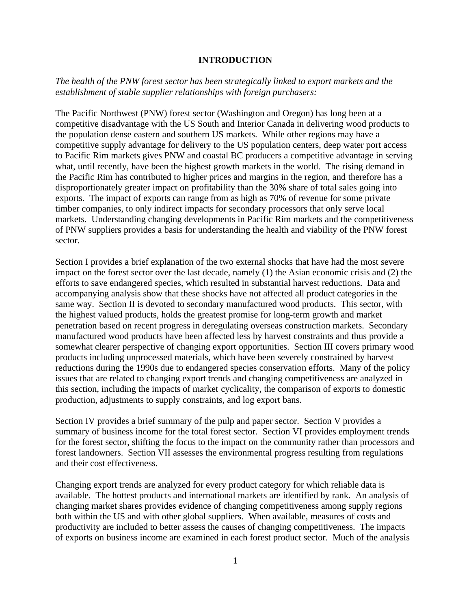#### **INTRODUCTION**

## *The health of the PNW forest sector has been strategically linked to export markets and the establishment of stable supplier relationships with foreign purchasers:*

The Pacific Northwest (PNW) forest sector (Washington and Oregon) has long been at a competitive disadvantage with the US South and Interior Canada in delivering wood products to the population dense eastern and southern US markets. While other regions may have a competitive supply advantage for delivery to the US population centers, deep water port access to Pacific Rim markets gives PNW and coastal BC producers a competitive advantage in serving what, until recently, have been the highest growth markets in the world. The rising demand in the Pacific Rim has contributed to higher prices and margins in the region, and therefore has a disproportionately greater impact on profitability than the 30% share of total sales going into exports. The impact of exports can range from as high as 70% of revenue for some private timber companies, to only indirect impacts for secondary processors that only serve local markets. Understanding changing developments in Pacific Rim markets and the competitiveness of PNW suppliers provides a basis for understanding the health and viability of the PNW forest sector.

Section I provides a brief explanation of the two external shocks that have had the most severe impact on the forest sector over the last decade, namely (1) the Asian economic crisis and (2) the efforts to save endangered species, which resulted in substantial harvest reductions. Data and accompanying analysis show that these shocks have not affected all product categories in the same way. Section II is devoted to secondary manufactured wood products. This sector, with the highest valued products, holds the greatest promise for long-term growth and market penetration based on recent progress in deregulating overseas construction markets. Secondary manufactured wood products have been affected less by harvest constraints and thus provide a somewhat clearer perspective of changing export opportunities. Section III covers primary wood products including unprocessed materials, which have been severely constrained by harvest reductions during the 1990s due to endangered species conservation efforts. Many of the policy issues that are related to changing export trends and changing competitiveness are analyzed in this section, including the impacts of market cyclicality, the comparison of exports to domestic production, adjustments to supply constraints, and log export bans.

Section IV provides a brief summary of the pulp and paper sector. Section V provides a summary of business income for the total forest sector. Section VI provides employment trends for the forest sector, shifting the focus to the impact on the community rather than processors and forest landowners. Section VII assesses the environmental progress resulting from regulations and their cost effectiveness.

Changing export trends are analyzed for every product category for which reliable data is available. The hottest products and international markets are identified by rank. An analysis of changing market shares provides evidence of changing competitiveness among supply regions both within the US and with other global suppliers. When available, measures of costs and productivity are included to better assess the causes of changing competitiveness. The impacts of exports on business income are examined in each forest product sector. Much of the analysis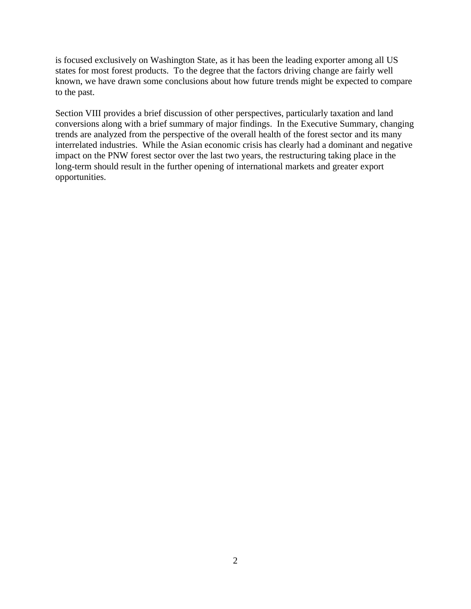is focused exclusively on Washington State, as it has been the leading exporter among all US states for most forest products. To the degree that the factors driving change are fairly well known, we have drawn some conclusions about how future trends might be expected to compare to the past.

Section VIII provides a brief discussion of other perspectives, particularly taxation and land conversions along with a brief summary of major findings. In the Executive Summary, changing trends are analyzed from the perspective of the overall health of the forest sector and its many interrelated industries. While the Asian economic crisis has clearly had a dominant and negative impact on the PNW forest sector over the last two years, the restructuring taking place in the long-term should result in the further opening of international markets and greater export opportunities.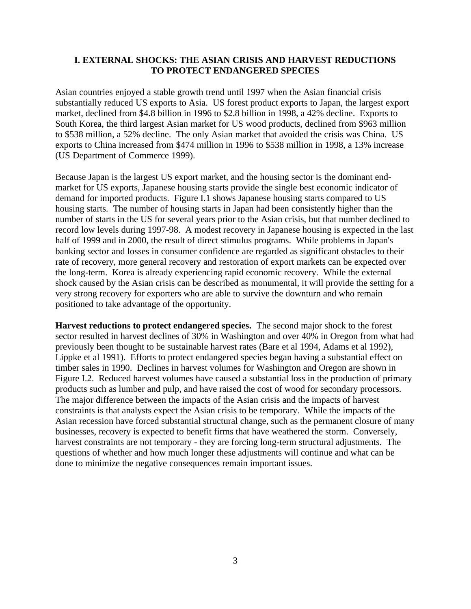## **I. EXTERNAL SHOCKS: THE ASIAN CRISIS AND HARVEST REDUCTIONS TO PROTECT ENDANGERED SPECIES**

Asian countries enjoyed a stable growth trend until 1997 when the Asian financial crisis substantially reduced US exports to Asia. US forest product exports to Japan, the largest export market, declined from \$4.8 billion in 1996 to \$2.8 billion in 1998, a 42% decline. Exports to South Korea, the third largest Asian market for US wood products, declined from \$963 million to \$538 million, a 52% decline. The only Asian market that avoided the crisis was China. US exports to China increased from \$474 million in 1996 to \$538 million in 1998, a 13% increase (US Department of Commerce 1999).

Because Japan is the largest US export market, and the housing sector is the dominant endmarket for US exports, Japanese housing starts provide the single best economic indicator of demand for imported products. Figure I.1 shows Japanese housing starts compared to US housing starts. The number of housing starts in Japan had been consistently higher than the number of starts in the US for several years prior to the Asian crisis, but that number declined to record low levels during 1997-98. A modest recovery in Japanese housing is expected in the last half of 1999 and in 2000, the result of direct stimulus programs. While problems in Japan's banking sector and losses in consumer confidence are regarded as significant obstacles to their rate of recovery, more general recovery and restoration of export markets can be expected over the long-term. Korea is already experiencing rapid economic recovery. While the external shock caused by the Asian crisis can be described as monumental, it will provide the setting for a very strong recovery for exporters who are able to survive the downturn and who remain positioned to take advantage of the opportunity.

**Harvest reductions to protect endangered species.** The second major shock to the forest sector resulted in harvest declines of 30% in Washington and over 40% in Oregon from what had previously been thought to be sustainable harvest rates (Bare et al 1994, Adams et al 1992), Lippke et al 1991). Efforts to protect endangered species began having a substantial effect on timber sales in 1990. Declines in harvest volumes for Washington and Oregon are shown in Figure I.2. Reduced harvest volumes have caused a substantial loss in the production of primary products such as lumber and pulp, and have raised the cost of wood for secondary processors. The major difference between the impacts of the Asian crisis and the impacts of harvest constraints is that analysts expect the Asian crisis to be temporary. While the impacts of the Asian recession have forced substantial structural change, such as the permanent closure of many businesses, recovery is expected to benefit firms that have weathered the storm. Conversely, harvest constraints are not temporary - they are forcing long-term structural adjustments. The questions of whether and how much longer these adjustments will continue and what can be done to minimize the negative consequences remain important issues.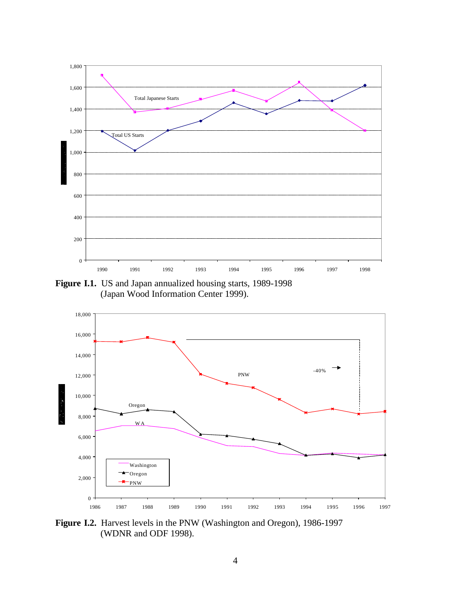

**Figure I.1.** US and Japan annualized housing starts, 1989-1998 (Japan Wood Information Center 1999).



**Figure I.2.** Harvest levels in the PNW (Washington and Oregon), 1986-1997 (WDNR and ODF 1998).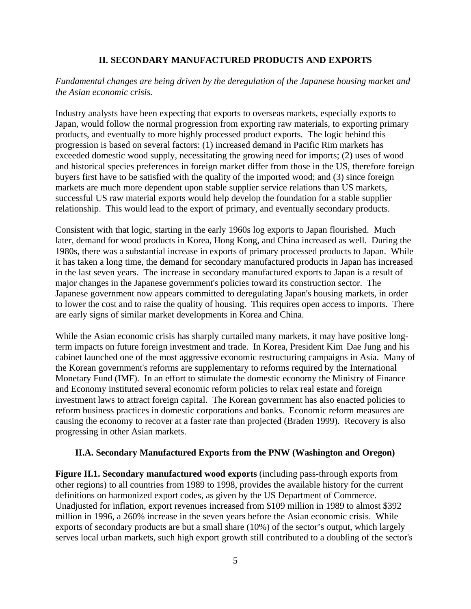### **II. SECONDARY MANUFACTURED PRODUCTS AND EXPORTS**

## *Fundamental changes are being driven by the deregulation of the Japanese housing market and the Asian economic crisis.*

Industry analysts have been expecting that exports to overseas markets, especially exports to Japan, would follow the normal progression from exporting raw materials, to exporting primary products, and eventually to more highly processed product exports. The logic behind this progression is based on several factors: (1) increased demand in Pacific Rim markets has exceeded domestic wood supply, necessitating the growing need for imports; (2) uses of wood and historical species preferences in foreign market differ from those in the US, therefore foreign buyers first have to be satisfied with the quality of the imported wood; and (3) since foreign markets are much more dependent upon stable supplier service relations than US markets, successful US raw material exports would help develop the foundation for a stable supplier relationship. This would lead to the export of primary, and eventually secondary products.

Consistent with that logic, starting in the early 1960s log exports to Japan flourished. Much later, demand for wood products in Korea, Hong Kong, and China increased as well. During the 1980s, there was a substantial increase in exports of primary processed products to Japan. While it has taken a long time, the demand for secondary manufactured products in Japan has increased in the last seven years. The increase in secondary manufactured exports to Japan is a result of major changes in the Japanese government's policies toward its construction sector. The Japanese government now appears committed to deregulating Japan's housing markets, in order to lower the cost and to raise the quality of housing. This requires open access to imports. There are early signs of similar market developments in Korea and China.

While the Asian economic crisis has sharply curtailed many markets, it may have positive longterm impacts on future foreign investment and trade. In Korea, President Kim Dae Jung and his cabinet launched one of the most aggressive economic restructuring campaigns in Asia. Many of the Korean government's reforms are supplementary to reforms required by the International Monetary Fund (IMF). In an effort to stimulate the domestic economy the Ministry of Finance and Economy instituted several economic reform policies to relax real estate and foreign investment laws to attract foreign capital. The Korean government has also enacted policies to reform business practices in domestic corporations and banks. Economic reform measures are causing the economy to recover at a faster rate than projected (Braden 1999). Recovery is also progressing in other Asian markets.

## **II.A. Secondary Manufactured Exports from the PNW (Washington and Oregon)**

**Figure II.1. Secondary manufactured wood exports** (including pass-through exports from other regions) to all countries from 1989 to 1998, provides the available history for the current definitions on harmonized export codes, as given by the US Department of Commerce. Unadjusted for inflation, export revenues increased from \$109 million in 1989 to almost \$392 million in 1996, a 260% increase in the seven years before the Asian economic crisis. While exports of secondary products are but a small share (10%) of the sector's output, which largely serves local urban markets, such high export growth still contributed to a doubling of the sector's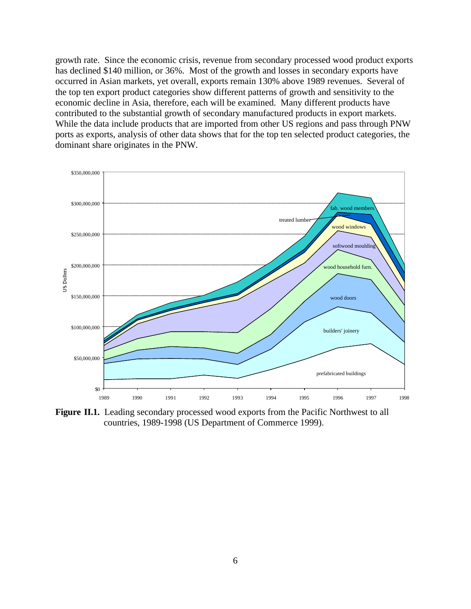growth rate. Since the economic crisis, revenue from secondary processed wood product exports has declined \$140 million, or 36%. Most of the growth and losses in secondary exports have occurred in Asian markets, yet overall, exports remain 130% above 1989 revenues. Several of the top ten export product categories show different patterns of growth and sensitivity to the economic decline in Asia, therefore, each will be examined. Many different products have contributed to the substantial growth of secondary manufactured products in export markets. While the data include products that are imported from other US regions and pass through PNW ports as exports, analysis of other data shows that for the top ten selected product categories, the dominant share originates in the PNW.



**Figure II.1.** Leading secondary processed wood exports from the Pacific Northwest to all countries, 1989-1998 (US Department of Commerce 1999).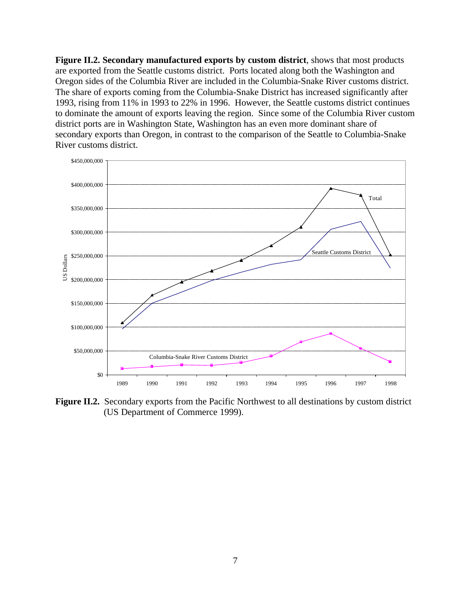**Figure II.2. Secondary manufactured exports by custom district**, shows that most products are exported from the Seattle customs district. Ports located along both the Washington and Oregon sides of the Columbia River are included in the Columbia-Snake River customs district. The share of exports coming from the Columbia-Snake District has increased significantly after 1993, rising from 11% in 1993 to 22% in 1996. However, the Seattle customs district continues to dominate the amount of exports leaving the region. Since some of the Columbia River custom district ports are in Washington State, Washington has an even more dominant share of secondary exports than Oregon, in contrast to the comparison of the Seattle to Columbia-Snake River customs district.



**Figure II.2.** Secondary exports from the Pacific Northwest to all destinations by custom district (US Department of Commerce 1999).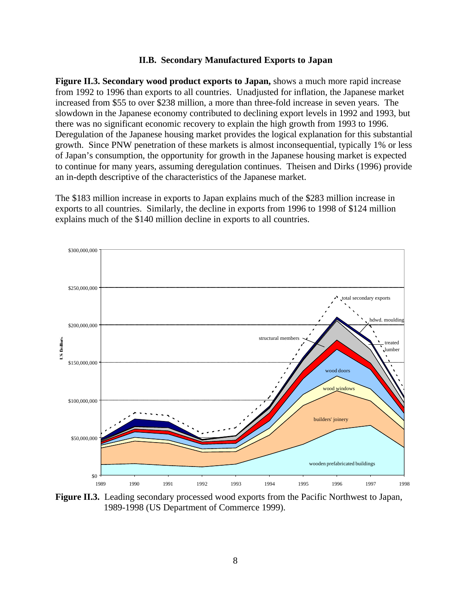#### **II.B. Secondary Manufactured Exports to Japan**

**Figure II.3. Secondary wood product exports to Japan,** shows a much more rapid increase from 1992 to 1996 than exports to all countries. Unadjusted for inflation, the Japanese market increased from \$55 to over \$238 million, a more than three-fold increase in seven years. The slowdown in the Japanese economy contributed to declining export levels in 1992 and 1993, but there was no significant economic recovery to explain the high growth from 1993 to 1996. Deregulation of the Japanese housing market provides the logical explanation for this substantial growth. Since PNW penetration of these markets is almost inconsequential, typically 1% or less of Japan's consumption, the opportunity for growth in the Japanese housing market is expected to continue for many years, assuming deregulation continues. Theisen and Dirks (1996) provide an in-depth descriptive of the characteristics of the Japanese market.

The \$183 million increase in exports to Japan explains much of the \$283 million increase in exports to all countries. Similarly, the decline in exports from 1996 to 1998 of \$124 million explains much of the \$140 million decline in exports to all countries.



**Figure II.3.** Leading secondary processed wood exports from the Pacific Northwest to Japan, 1989-1998 (US Department of Commerce 1999).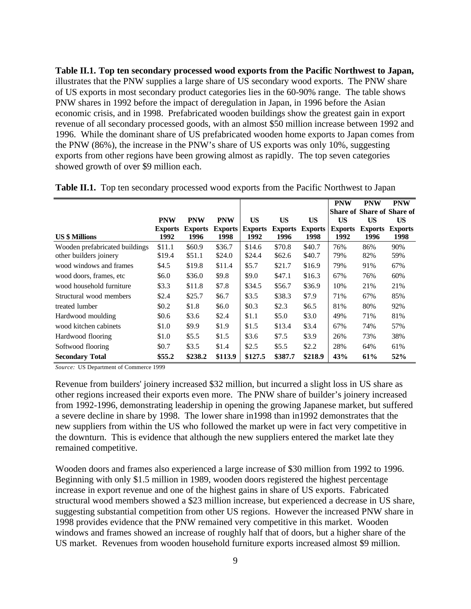**Table II.1. Top ten secondary processed wood exports from the Pacific Northwest to Japan,** illustrates that the PNW supplies a large share of US secondary wood exports. The PNW share of US exports in most secondary product categories lies in the 60-90% range. The table shows PNW shares in 1992 before the impact of deregulation in Japan, in 1996 before the Asian economic crisis, and in 1998. Prefabricated wooden buildings show the greatest gain in export revenue of all secondary processed goods, with an almost \$50 million increase between 1992 and 1996. While the dominant share of US prefabricated wooden home exports to Japan comes from the PNW (86%), the increase in the PNW's share of US exports was only 10%, suggesting exports from other regions have been growing almost as rapidly. The top seven categories showed growth of over \$9 million each.

|                                |                |                |                |                |                |                | <b>PNW</b>                        | <b>PNW</b>     | <b>PNW</b>     |
|--------------------------------|----------------|----------------|----------------|----------------|----------------|----------------|-----------------------------------|----------------|----------------|
|                                |                |                |                |                |                |                | <b>Share of Share of Share of</b> |                |                |
|                                | <b>PNW</b>     | <b>PNW</b>     | <b>PNW</b>     | <b>US</b>      | <b>US</b>      | <b>US</b>      | <b>US</b>                         | <b>US</b>      | <b>US</b>      |
|                                | <b>Exports</b> | <b>Exports</b> | <b>Exports</b> | <b>Exports</b> | <b>Exports</b> | <b>Exports</b> | <b>Exports</b>                    | <b>Exports</b> | <b>Exports</b> |
| <b>US \$ Millions</b>          | 1992           | 1996           | 1998           | 1992           | 1996           | 1998           | 1992                              | 1996           | 1998           |
| Wooden prefabricated buildings | \$11.1         | \$60.9         | \$36.7         | \$14.6         | \$70.8         | \$40.7         | 76%                               | 86%            | 90%            |
| other builders joinery         | \$19.4         | \$51.1         | \$24.0         | \$24.4         | \$62.6         | \$40.7         | 79%                               | 82%            | 59%            |
| wood windows and frames        | \$4.5          | \$19.8         | \$11.4         | \$5.7          | \$21.7         | \$16.9         | 79%                               | 91%            | 67%            |
| wood doors, frames, etc.       | \$6.0          | \$36.0         | \$9.8          | \$9.0          | \$47.1         | \$16.3         | 67%                               | 76%            | 60%            |
| wood household furniture       | \$3.3          | \$11.8         | \$7.8          | \$34.5         | \$56.7         | \$36.9         | 10%                               | 21%            | 21%            |
| Structural wood members        | \$2.4          | \$25.7         | \$6.7          | \$3.5          | \$38.3         | \$7.9          | 71%                               | 67%            | 85%            |
| treated lumber                 | \$0.2          | \$1.8          | \$6.0          | \$0.3\$        | \$2.3          | \$6.5\$        | 81%                               | 80%            | 92%            |
| Hardwood moulding              | \$0.6          | \$3.6          | \$2.4          | \$1.1          | \$5.0          | \$3.0          | 49%                               | 71%            | 81%            |
| wood kitchen cabinets          | \$1.0          | \$9.9          | \$1.9          | \$1.5          | \$13.4         | \$3.4          | 67%                               | 74%            | 57%            |
| Hardwood flooring              | \$1.0          | \$5.5          | \$1.5          | \$3.6          | \$7.5          | \$3.9          | 26%                               | 73%            | 38%            |
| Softwood flooring              | \$0.7          | \$3.5          | \$1.4          | \$2.5          | \$5.5          | \$2.2          | 28%                               | 64%            | 61%            |
| <b>Secondary Total</b>         | \$55.2         | \$238.2        | \$113.9        | \$127.5        | \$387.7        | \$218.9        | 43%                               | 61%            | 52%            |

**Table II.1.** Top ten secondary processed wood exports from the Pacific Northwest to Japan

*Source:* US Department of Commerce 1999

Revenue from builders' joinery increased \$32 million, but incurred a slight loss in US share as other regions increased their exports even more. The PNW share of builder's joinery increased from 1992-1996, demonstrating leadership in opening the growing Japanese market, but suffered a severe decline in share by 1998. The lower share in1998 than in1992 demonstrates that the new suppliers from within the US who followed the market up were in fact very competitive in the downturn. This is evidence that although the new suppliers entered the market late they remained competitive.

Wooden doors and frames also experienced a large increase of \$30 million from 1992 to 1996. Beginning with only \$1.5 million in 1989, wooden doors registered the highest percentage increase in export revenue and one of the highest gains in share of US exports. Fabricated structural wood members showed a \$23 million increase, but experienced a decrease in US share, suggesting substantial competition from other US regions. However the increased PNW share in 1998 provides evidence that the PNW remained very competitive in this market. Wooden windows and frames showed an increase of roughly half that of doors, but a higher share of the US market. Revenues from wooden household furniture exports increased almost \$9 million.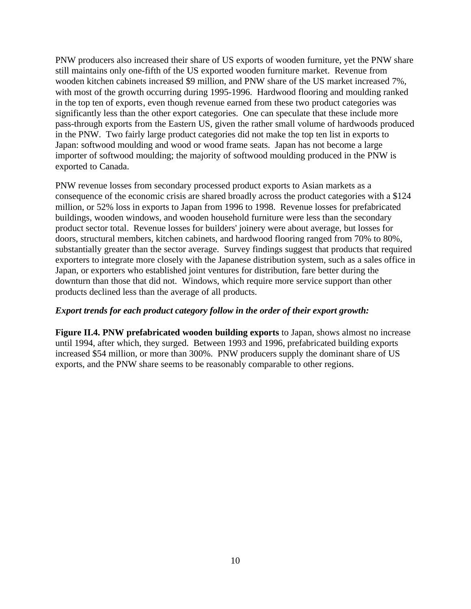PNW producers also increased their share of US exports of wooden furniture, yet the PNW share still maintains only one-fifth of the US exported wooden furniture market. Revenue from wooden kitchen cabinets increased \$9 million, and PNW share of the US market increased 7%, with most of the growth occurring during 1995-1996. Hardwood flooring and moulding ranked in the top ten of exports, even though revenue earned from these two product categories was significantly less than the other export categories. One can speculate that these include more pass-through exports from the Eastern US, given the rather small volume of hardwoods produced in the PNW. Two fairly large product categories did not make the top ten list in exports to Japan: softwood moulding and wood or wood frame seats. Japan has not become a large importer of softwood moulding; the majority of softwood moulding produced in the PNW is exported to Canada.

PNW revenue losses from secondary processed product exports to Asian markets as a consequence of the economic crisis are shared broadly across the product categories with a \$124 million, or 52% loss in exports to Japan from 1996 to 1998. Revenue losses for prefabricated buildings, wooden windows, and wooden household furniture were less than the secondary product sector total. Revenue losses for builders' joinery were about average, but losses for doors, structural members, kitchen cabinets, and hardwood flooring ranged from 70% to 80%, substantially greater than the sector average. Survey findings suggest that products that required exporters to integrate more closely with the Japanese distribution system, such as a sales office in Japan, or exporters who established joint ventures for distribution, fare better during the downturn than those that did not. Windows, which require more service support than other products declined less than the average of all products.

## *Export trends for each product category follow in the order of their export growth:*

**Figure II.4. PNW prefabricated wooden building exports** to Japan, shows almost no increase until 1994, after which, they surged. Between 1993 and 1996, prefabricated building exports increased \$54 million, or more than 300%. PNW producers supply the dominant share of US exports, and the PNW share seems to be reasonably comparable to other regions.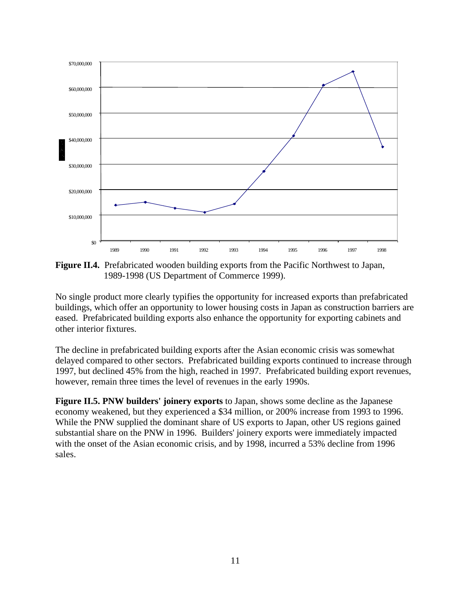

**Figure II.4.** Prefabricated wooden building exports from the Pacific Northwest to Japan, 1989-1998 (US Department of Commerce 1999).

No single product more clearly typifies the opportunity for increased exports than prefabricated buildings, which offer an opportunity to lower housing costs in Japan as construction barriers are eased. Prefabricated building exports also enhance the opportunity for exporting cabinets and other interior fixtures.

The decline in prefabricated building exports after the Asian economic crisis was somewhat delayed compared to other sectors. Prefabricated building exports continued to increase through 1997, but declined 45% from the high, reached in 1997. Prefabricated building export revenues, however, remain three times the level of revenues in the early 1990s.

**Figure II.5. PNW builders' joinery exports** to Japan, shows some decline as the Japanese economy weakened, but they experienced a \$34 million, or 200% increase from 1993 to 1996. While the PNW supplied the dominant share of US exports to Japan, other US regions gained substantial share on the PNW in 1996. Builders' joinery exports were immediately impacted with the onset of the Asian economic crisis, and by 1998, incurred a 53% decline from 1996 sales.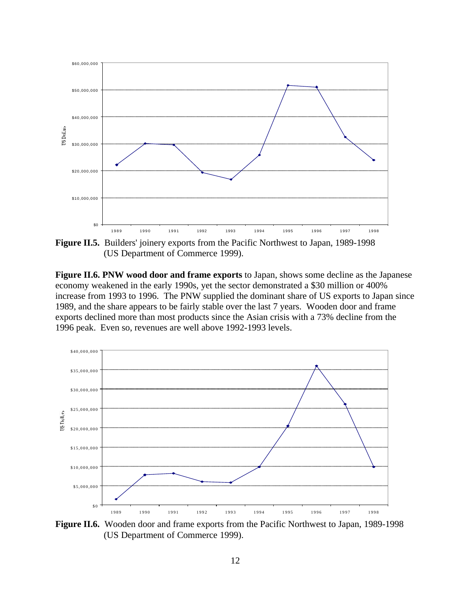

**Figure II.5.** Builders' joinery exports from the Pacific Northwest to Japan, 1989-1998 (US Department of Commerce 1999).

**Figure II.6. PNW wood door and frame exports** to Japan, shows some decline as the Japanese economy weakened in the early 1990s, yet the sector demonstrated a \$30 million or 400% increase from 1993 to 1996. The PNW supplied the dominant share of US exports to Japan since 1989, and the share appears to be fairly stable over the last 7 years. Wooden door and frame exports declined more than most products since the Asian crisis with a 73% decline from the 1996 peak. Even so, revenues are well above 1992-1993 levels.



**Figure II.6.** Wooden door and frame exports from the Pacific Northwest to Japan, 1989-1998 (US Department of Commerce 1999).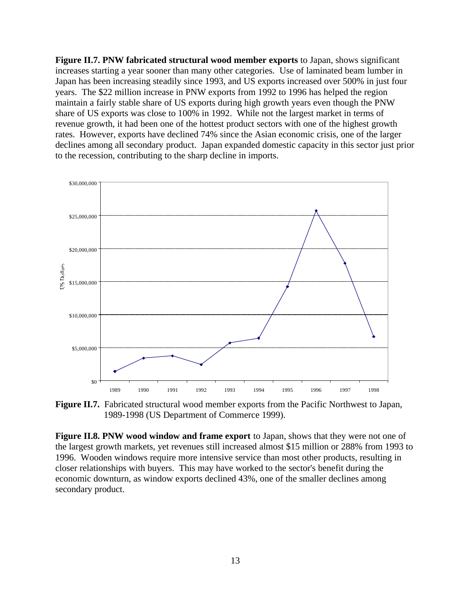**Figure II.7. PNW fabricated structural wood member exports** to Japan, shows significant increases starting a year sooner than many other categories. Use of laminated beam lumber in Japan has been increasing steadily since 1993, and US exports increased over 500% in just four years. The \$22 million increase in PNW exports from 1992 to 1996 has helped the region maintain a fairly stable share of US exports during high growth years even though the PNW share of US exports was close to 100% in 1992. While not the largest market in terms of revenue growth, it had been one of the hottest product sectors with one of the highest growth rates. However, exports have declined 74% since the Asian economic crisis, one of the larger declines among all secondary product. Japan expanded domestic capacity in this sector just prior to the recession, contributing to the sharp decline in imports.



**Figure II.7.** Fabricated structural wood member exports from the Pacific Northwest to Japan, 1989-1998 (US Department of Commerce 1999).

**Figure II.8. PNW wood window and frame export** to Japan, shows that they were not one of the largest growth markets, yet revenues still increased almost \$15 million or 288% from 1993 to 1996. Wooden windows require more intensive service than most other products, resulting in closer relationships with buyers. This may have worked to the sector's benefit during the economic downturn, as window exports declined 43%, one of the smaller declines among secondary product.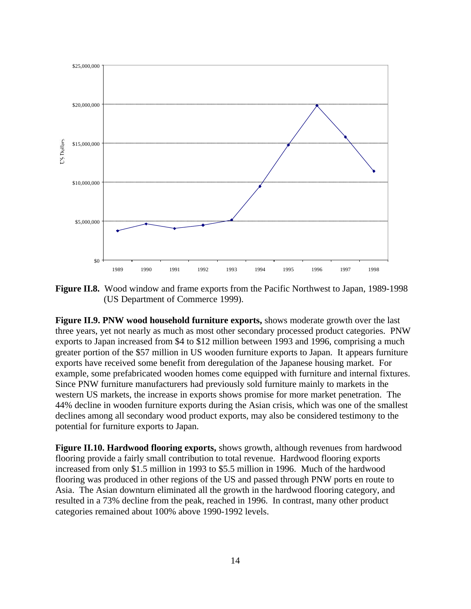

**Figure II.8.** Wood window and frame exports from the Pacific Northwest to Japan, 1989-1998 (US Department of Commerce 1999).

**Figure II.9. PNW wood household furniture exports,** shows moderate growth over the last three years, yet not nearly as much as most other secondary processed product categories. PNW exports to Japan increased from \$4 to \$12 million between 1993 and 1996, comprising a much greater portion of the \$57 million in US wooden furniture exports to Japan. It appears furniture exports have received some benefit from deregulation of the Japanese housing market. For example, some prefabricated wooden homes come equipped with furniture and internal fixtures. Since PNW furniture manufacturers had previously sold furniture mainly to markets in the western US markets, the increase in exports shows promise for more market penetration. The 44% decline in wooden furniture exports during the Asian crisis, which was one of the smallest declines among all secondary wood product exports, may also be considered testimony to the potential for furniture exports to Japan.

**Figure II.10. Hardwood flooring exports,** shows growth, although revenues from hardwood flooring provide a fairly small contribution to total revenue. Hardwood flooring exports increased from only \$1.5 million in 1993 to \$5.5 million in 1996. Much of the hardwood flooring was produced in other regions of the US and passed through PNW ports en route to Asia. The Asian downturn eliminated all the growth in the hardwood flooring category, and resulted in a 73% decline from the peak, reached in 1996. In contrast, many other product categories remained about 100% above 1990-1992 levels.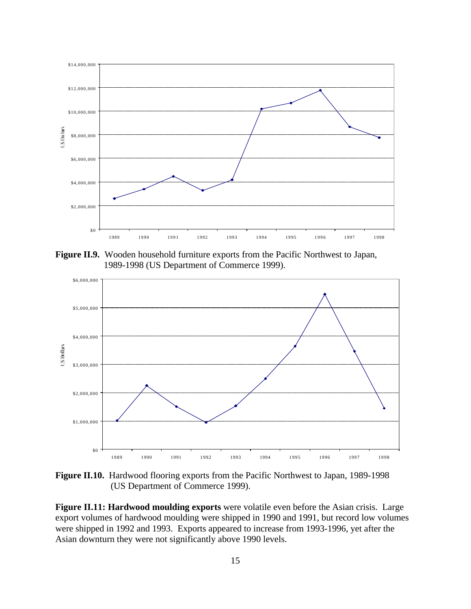

**Figure II.9.** Wooden household furniture exports from the Pacific Northwest to Japan, 1989-1998 (US Department of Commerce 1999).



**Figure II.10.** Hardwood flooring exports from the Pacific Northwest to Japan, 1989-1998 (US Department of Commerce 1999).

**Figure II.11: Hardwood moulding exports** were volatile even before the Asian crisis. Large export volumes of hardwood moulding were shipped in 1990 and 1991, but record low volumes were shipped in 1992 and 1993. Exports appeared to increase from 1993-1996, yet after the Asian downturn they were not significantly above 1990 levels.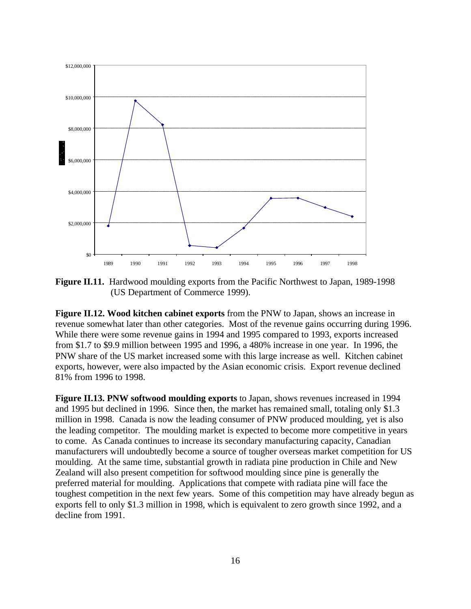

**Figure II.11.** Hardwood moulding exports from the Pacific Northwest to Japan, 1989-1998 (US Department of Commerce 1999).

**Figure II.12. Wood kitchen cabinet exports** from the PNW to Japan, shows an increase in revenue somewhat later than other categories. Most of the revenue gains occurring during 1996. While there were some revenue gains in 1994 and 1995 compared to 1993, exports increased from \$1.7 to \$9.9 million between 1995 and 1996, a 480% increase in one year. In 1996, the PNW share of the US market increased some with this large increase as well. Kitchen cabinet exports, however, were also impacted by the Asian economic crisis. Export revenue declined 81% from 1996 to 1998.

**Figure II.13. PNW softwood moulding exports** to Japan, shows revenues increased in 1994 and 1995 but declined in 1996. Since then, the market has remained small, totaling only \$1.3 million in 1998. Canada is now the leading consumer of PNW produced moulding, yet is also the leading competitor. The moulding market is expected to become more competitive in years to come. As Canada continues to increase its secondary manufacturing capacity, Canadian manufacturers will undoubtedly become a source of tougher overseas market competition for US moulding. At the same time, substantial growth in radiata pine production in Chile and New Zealand will also present competition for softwood moulding since pine is generally the preferred material for moulding. Applications that compete with radiata pine will face the toughest competition in the next few years. Some of this competition may have already begun as exports fell to only \$1.3 million in 1998, which is equivalent to zero growth since 1992, and a decline from 1991.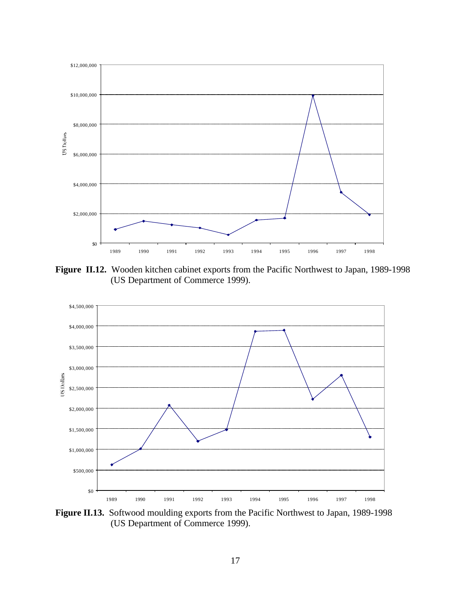

**Figure II.12.** Wooden kitchen cabinet exports from the Pacific Northwest to Japan, 1989-1998 (US Department of Commerce 1999).



**Figure II.13.** Softwood moulding exports from the Pacific Northwest to Japan, 1989-1998 (US Department of Commerce 1999).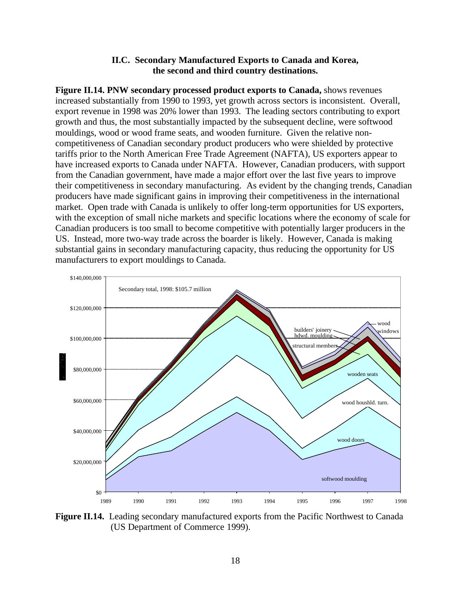## **II.C. Secondary Manufactured Exports to Canada and Korea, the second and third country destinations.**

**Figure II.14. PNW secondary processed product exports to Canada,** shows revenues increased substantially from 1990 to 1993, yet growth across sectors is inconsistent. Overall, export revenue in 1998 was 20% lower than 1993. The leading sectors contributing to export growth and thus, the most substantially impacted by the subsequent decline, were softwood mouldings, wood or wood frame seats, and wooden furniture. Given the relative noncompetitiveness of Canadian secondary product producers who were shielded by protective tariffs prior to the North American Free Trade Agreement (NAFTA), US exporters appear to have increased exports to Canada under NAFTA. However, Canadian producers, with support from the Canadian government, have made a major effort over the last five years to improve their competitiveness in secondary manufacturing. As evident by the changing trends, Canadian producers have made significant gains in improving their competitiveness in the international market. Open trade with Canada is unlikely to offer long-term opportunities for US exporters, with the exception of small niche markets and specific locations where the economy of scale for Canadian producers is too small to become competitive with potentially larger producers in the US. Instead, more two-way trade across the boarder is likely. However, Canada is making substantial gains in secondary manufacturing capacity, thus reducing the opportunity for US manufacturers to export mouldings to Canada.



**Figure II.14.** Leading secondary manufactured exports from the Pacific Northwest to Canada (US Department of Commerce 1999).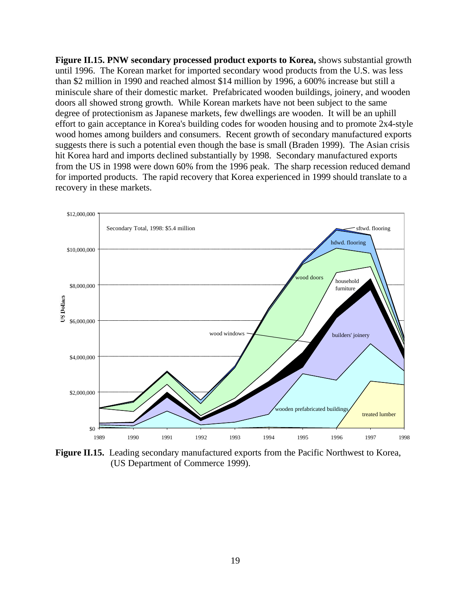**Figure II.15. PNW secondary processed product exports to Korea,** shows substantial growth until 1996. The Korean market for imported secondary wood products from the U.S. was less than \$2 million in 1990 and reached almost \$14 million by 1996, a 600% increase but still a miniscule share of their domestic market. Prefabricated wooden buildings, joinery, and wooden doors all showed strong growth. While Korean markets have not been subject to the same degree of protectionism as Japanese markets, few dwellings are wooden. It will be an uphill effort to gain acceptance in Korea's building codes for wooden housing and to promote 2x4-style wood homes among builders and consumers. Recent growth of secondary manufactured exports suggests there is such a potential even though the base is small (Braden 1999). The Asian crisis hit Korea hard and imports declined substantially by 1998. Secondary manufactured exports from the US in 1998 were down 60% from the 1996 peak. The sharp recession reduced demand for imported products. The rapid recovery that Korea experienced in 1999 should translate to a recovery in these markets.



**Figure II.15.** Leading secondary manufactured exports from the Pacific Northwest to Korea, (US Department of Commerce 1999).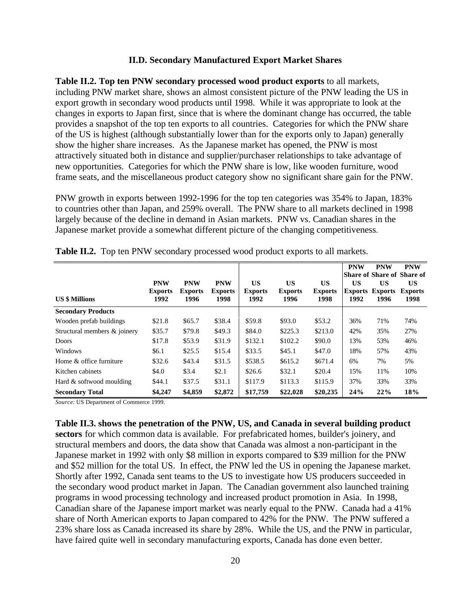#### **II.D. Secondary Manufactured Export Market Shares**

**Table II.2. Top ten PNW secondary processed wood product exports** to all markets, including PNW market share, shows an almost consistent picture of the PNW leading the US in export growth in secondary wood products until 1998. While it was appropriate to look at the changes in exports to Japan first, since that is where the dominant change has occurred, the table provides a snapshot of the top ten exports to all countries. Categories for which the PNW share of the US is highest (although substantially lower than for the exports only to Japan) generally show the higher share increases. As the Japanese market has opened, the PNW is most attractively situated both in distance and supplier/purchaser relationships to take advantage of new opportunities. Categories for which the PNW share is low, like wooden furniture, wood frame seats, and the miscellaneous product category show no significant share gain for the PNW.

PNW growth in exports between 1992-1996 for the top ten categories was 354% to Japan, 183% to countries other than Japan, and 259% overall. The PNW share to all markets declined in 1998 largely because of the decline in demand in Asian markets. PNW vs. Canadian shares in the Japanese market provide a somewhat different picture of the changing competitiveness.

| <b>US \$ Millions</b>        | <b>PNW</b><br><b>Exports</b><br>1992 | <b>PNW</b><br><b>Exports</b><br>1996 | <b>PNW</b><br><b>Exports</b><br>1998 | US<br><b>Exports</b><br>1992 | <b>US</b><br><b>Exports</b><br>1996 | <b>US</b><br><b>Exports</b><br>1998 | <b>PNW</b><br>US<br><b>Exports</b><br>1992 | <b>PNW</b><br>US<br><b>Exports</b><br>1996 | <b>PNW</b><br> Share of Share of Share of<br><b>US</b><br><b>Exports</b><br>1998 |
|------------------------------|--------------------------------------|--------------------------------------|--------------------------------------|------------------------------|-------------------------------------|-------------------------------------|--------------------------------------------|--------------------------------------------|----------------------------------------------------------------------------------|
| <b>Secondary Products</b>    |                                      |                                      |                                      |                              |                                     |                                     |                                            |                                            |                                                                                  |
| Wooden prefab buildings      | \$21.8                               | \$65.7                               | \$38.4                               | \$59.8                       | \$93.0                              | \$53.2                              | 36%                                        | 71%                                        | 74%                                                                              |
| Structural members & joinery | \$35.7                               | \$79.8                               | \$49.3                               | \$84.0                       | \$225.3                             | \$213.0                             | 42%                                        | 35%                                        | 27%                                                                              |
| <b>Doors</b>                 | \$17.8                               | \$53.9                               | \$31.9                               | \$132.1                      | \$102.2                             | \$90.0                              | 13%                                        | 53%                                        | 46%                                                                              |
| Windows                      | \$6.1                                | \$25.5                               | \$15.4                               | \$33.5                       | \$45.1                              | \$47.0                              | 18%                                        | 57%                                        | 43%                                                                              |
| Home & office furniture      | \$32.6                               | \$43.4                               | \$31.5                               | \$538.5                      | \$615.2                             | \$671.4                             | 6%                                         | 7%                                         | 5%                                                                               |
| Kitchen cabinets             | \$4.0                                | \$3.4                                | \$2.1                                | \$26.6                       | \$32.1                              | \$20.4                              | 15%                                        | 11%                                        | 10%                                                                              |
| Hard & softwood moulding     | \$44.1                               | \$37.5                               | \$31.1                               | \$117.9                      | \$113.3                             | \$115.9                             | 37%                                        | 33%                                        | 33%                                                                              |
| <b>Secondary Total</b>       | \$4,247                              | \$4,859                              | \$2,872                              | \$17,759                     | \$22,028                            | \$20,235                            | 24%                                        | 22%                                        | 18%                                                                              |

**Table II.2.** Top ten PNW secondary processed wood product exports to all markets.

*Source:* US Department of Commerce 1999.

**Table II.3. shows the penetration of the PNW, US, and Canada in several building product sectors** for which common data is available. For prefabricated homes, builder's joinery, and structural members and doors, the data show that Canada was almost a non-participant in the Japanese market in 1992 with only \$8 million in exports compared to \$39 million for the PNW and \$52 million for the total US. In effect, the PNW led the US in opening the Japanese market. Shortly after 1992, Canada sent teams to the US to investigate how US producers succeeded in the secondary wood product market in Japan. The Canadian government also launched training programs in wood processing technology and increased product promotion in Asia. In 1998, Canadian share of the Japanese import market was nearly equal to the PNW. Canada had a 41% share of North American exports to Japan compared to 42% for the PNW. The PNW suffered a 23% share loss as Canada increased its share by 28%. While the US, and the PNW in particular, have faired quite well in secondary manufacturing exports, Canada has done even better.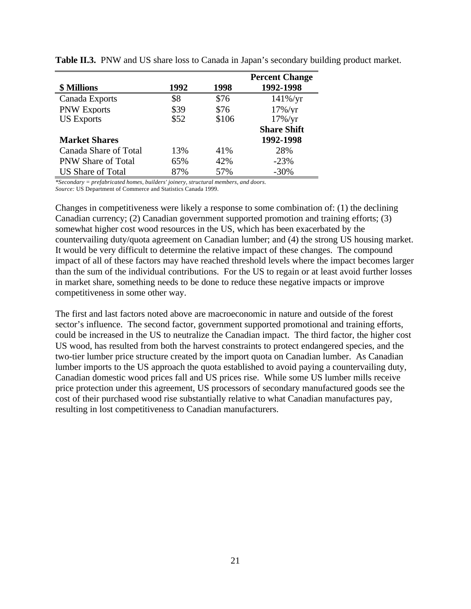|                           |      |       | <b>Percent Change</b> |
|---------------------------|------|-------|-----------------------|
| <b>\$ Millions</b>        | 1992 | 1998  | 1992-1998             |
| Canada Exports            | \$8  | \$76  | $141\% / yr$          |
| <b>PNW Exports</b>        | \$39 | \$76  | $17\%$ /yr            |
| <b>US Exports</b>         | \$52 | \$106 | $17\%$ /yr            |
|                           |      |       | <b>Share Shift</b>    |
| <b>Market Shares</b>      |      |       | 1992-1998             |
| Canada Share of Total     | 13%  | 41\%  | 28%                   |
| <b>PNW Share of Total</b> | 65%  | 42%   | $-23%$                |
| <b>US Share of Total</b>  | 87%  | 57%   | $-30%$                |

**Table II.3.** PNW and US share loss to Canada in Japan's secondary building product market.

*\*Secondary = prefabricated homes, builders' joinery, structural members, and doors. Source:* US Department of Commerce and Statistics Canada 1999.

Changes in competitiveness were likely a response to some combination of: (1) the declining Canadian currency; (2) Canadian government supported promotion and training efforts; (3) somewhat higher cost wood resources in the US, which has been exacerbated by the countervailing duty/quota agreement on Canadian lumber; and (4) the strong US housing market. It would be very difficult to determine the relative impact of these changes. The compound impact of all of these factors may have reached threshold levels where the impact becomes larger than the sum of the individual contributions. For the US to regain or at least avoid further losses in market share, something needs to be done to reduce these negative impacts or improve competitiveness in some other way.

The first and last factors noted above are macroeconomic in nature and outside of the forest sector's influence. The second factor, government supported promotional and training efforts, could be increased in the US to neutralize the Canadian impact. The third factor, the higher cost US wood, has resulted from both the harvest constraints to protect endangered species, and the two-tier lumber price structure created by the import quota on Canadian lumber. As Canadian lumber imports to the US approach the quota established to avoid paying a countervailing duty, Canadian domestic wood prices fall and US prices rise. While some US lumber mills receive price protection under this agreement, US processors of secondary manufactured goods see the cost of their purchased wood rise substantially relative to what Canadian manufactures pay, resulting in lost competitiveness to Canadian manufacturers.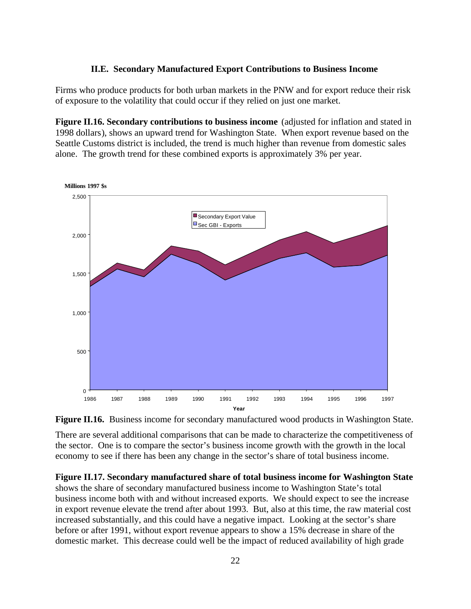#### **II.E. Secondary Manufactured Export Contributions to Business Income**

Firms who produce products for both urban markets in the PNW and for export reduce their risk of exposure to the volatility that could occur if they relied on just one market.

**Figure II.16. Secondary contributions to business income** (adjusted for inflation and stated in 1998 dollars), shows an upward trend for Washington State. When export revenue based on the Seattle Customs district is included, the trend is much higher than revenue from domestic sales alone. The growth trend for these combined exports is approximately 3% per year.



**Figure II.16.** Business income for secondary manufactured wood products in Washington State.

There are several additional comparisons that can be made to characterize the competitiveness of the sector. One is to compare the sector's business income growth with the growth in the local economy to see if there has been any change in the sector's share of total business income.

**Figure II.17. Secondary manufactured share of total business income for Washington State** shows the share of secondary manufactured business income to Washington State's total business income both with and without increased exports. We should expect to see the increase in export revenue elevate the trend after about 1993. But, also at this time, the raw material cost increased substantially, and this could have a negative impact. Looking at the sector's share before or after 1991, without export revenue appears to show a 15% decrease in share of the domestic market. This decrease could well be the impact of reduced availability of high grade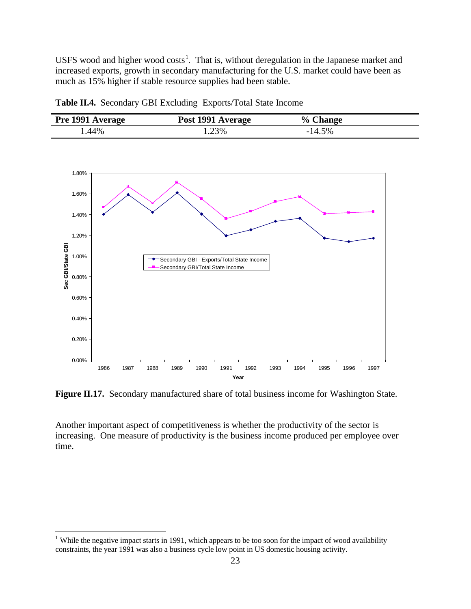USFS wood and higher wood costs<sup>1</sup>. That is, without deregulation in the Japanese market and increased exports, growth in secondary manufacturing for the U.S. market could have been as much as 15% higher if stable resource supplies had been stable.

**Table II.4.** Secondary GBI Excluding Exports/Total State Income

| <b>Pre 1991 Average</b> | Post 1991 Average | % Change |  |
|-------------------------|-------------------|----------|--|
| .44%                    | .23%              | $-14.5%$ |  |



**Figure II.17.** Secondary manufactured share of total business income for Washington State.

Another important aspect of competitiveness is whether the productivity of the sector is increasing. One measure of productivity is the business income produced per employee over time.

<sup>&</sup>lt;sup>1</sup> While the negative impact starts in 1991, which appears to be too soon for the impact of wood availability constraints, the year 1991 was also a business cycle low point in US domestic housing activity.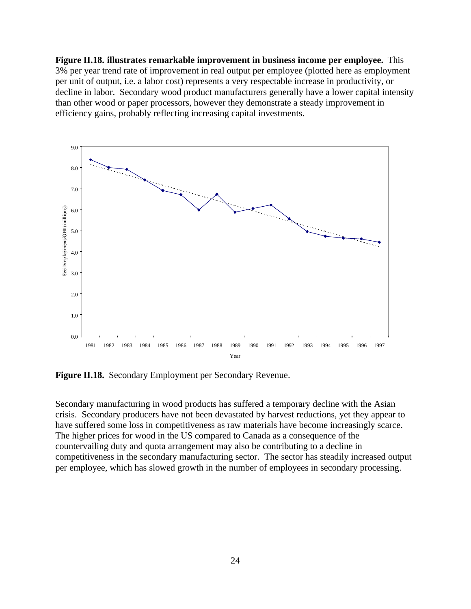**Figure II.18. illustrates remarkable improvement in business income per employee.** This 3% per year trend rate of improvement in real output per employee (plotted here as employment per unit of output, i.e. a labor cost) represents a very respectable increase in productivity, or decline in labor. Secondary wood product manufacturers generally have a lower capital intensity than other wood or paper processors, however they demonstrate a steady improvement in efficiency gains, probably reflecting increasing capital investments.



**Figure II.18.** Secondary Employment per Secondary Revenue.

Secondary manufacturing in wood products has suffered a temporary decline with the Asian crisis. Secondary producers have not been devastated by harvest reductions, yet they appear to have suffered some loss in competitiveness as raw materials have become increasingly scarce. The higher prices for wood in the US compared to Canada as a consequence of the countervailing duty and quota arrangement may also be contributing to a decline in competitiveness in the secondary manufacturing sector. The sector has steadily increased output per employee, which has slowed growth in the number of employees in secondary processing.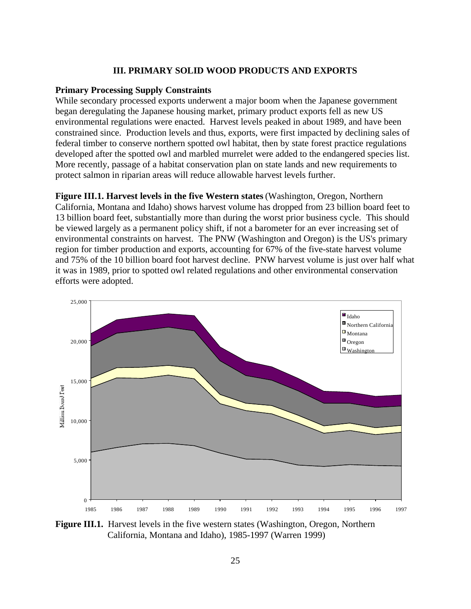#### **III. PRIMARY SOLID WOOD PRODUCTS AND EXPORTS**

#### **Primary Processing Supply Constraints**

While secondary processed exports underwent a major boom when the Japanese government began deregulating the Japanese housing market, primary product exports fell as new US environmental regulations were enacted. Harvest levels peaked in about 1989, and have been constrained since. Production levels and thus, exports, were first impacted by declining sales of federal timber to conserve northern spotted owl habitat, then by state forest practice regulations developed after the spotted owl and marbled murrelet were added to the endangered species list. More recently, passage of a habitat conservation plan on state lands and new requirements to protect salmon in riparian areas will reduce allowable harvest levels further.

**Figure III.1. Harvest levels in the five Western states** (Washington, Oregon, Northern California, Montana and Idaho) shows harvest volume has dropped from 23 billion board feet to 13 billion board feet, substantially more than during the worst prior business cycle. This should be viewed largely as a permanent policy shift, if not a barometer for an ever increasing set of environmental constraints on harvest. The PNW (Washington and Oregon) is the US's primary region for timber production and exports, accounting for 67% of the five-state harvest volume and 75% of the 10 billion board foot harvest decline. PNW harvest volume is just over half what it was in 1989, prior to spotted owl related regulations and other environmental conservation efforts were adopted.



**Figure III.1.** Harvest levels in the five western states (Washington, Oregon, Northern California, Montana and Idaho), 1985-1997 (Warren 1999)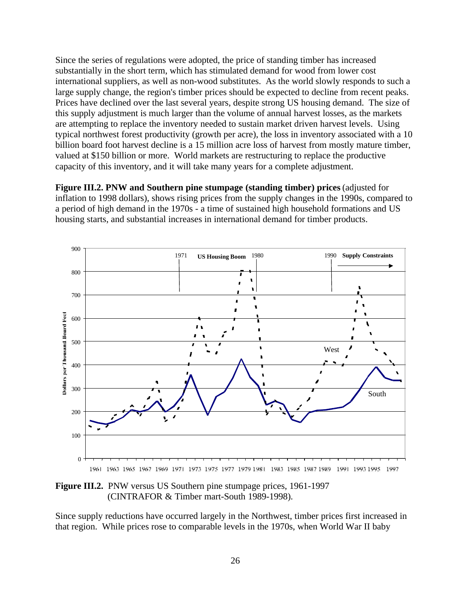Since the series of regulations were adopted, the price of standing timber has increased substantially in the short term, which has stimulated demand for wood from lower cost international suppliers, as well as non-wood substitutes. As the world slowly responds to such a large supply change, the region's timber prices should be expected to decline from recent peaks. Prices have declined over the last several years, despite strong US housing demand. The size of this supply adjustment is much larger than the volume of annual harvest losses, as the markets are attempting to replace the inventory needed to sustain market driven harvest levels. Using typical northwest forest productivity (growth per acre), the loss in inventory associated with a 10 billion board foot harvest decline is a 15 million acre loss of harvest from mostly mature timber, valued at \$150 billion or more. World markets are restructuring to replace the productive capacity of this inventory, and it will take many years for a complete adjustment.

**Figure III.2. PNW and Southern pine stumpage (standing timber) prices** (adjusted for inflation to 1998 dollars), shows rising prices from the supply changes in the 1990s, compared to a period of high demand in the 1970s - a time of sustained high household formations and US housing starts, and substantial increases in international demand for timber products.



**Figure III.2.** PNW versus US Southern pine stumpage prices, 1961-1997 (CINTRAFOR & Timber mart-South 1989-1998).

Since supply reductions have occurred largely in the Northwest, timber prices first increased in that region. While prices rose to comparable levels in the 1970s, when World War II baby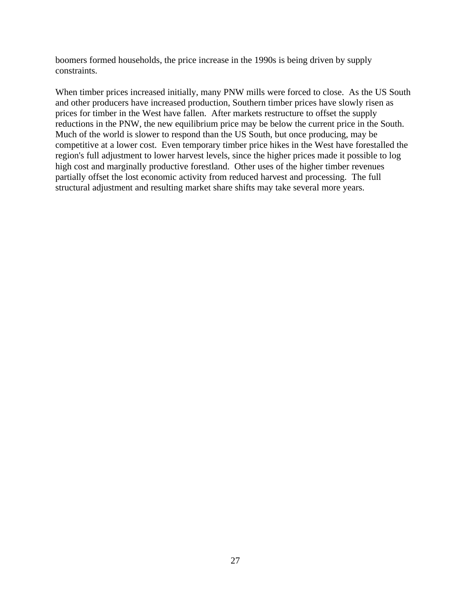boomers formed households, the price increase in the 1990s is being driven by supply constraints.

When timber prices increased initially, many PNW mills were forced to close. As the US South and other producers have increased production, Southern timber prices have slowly risen as prices for timber in the West have fallen. After markets restructure to offset the supply reductions in the PNW, the new equilibrium price may be below the current price in the South. Much of the world is slower to respond than the US South, but once producing, may be competitive at a lower cost. Even temporary timber price hikes in the West have forestalled the region's full adjustment to lower harvest levels, since the higher prices made it possible to log high cost and marginally productive forestland. Other uses of the higher timber revenues partially offset the lost economic activity from reduced harvest and processing. The full structural adjustment and resulting market share shifts may take several more years.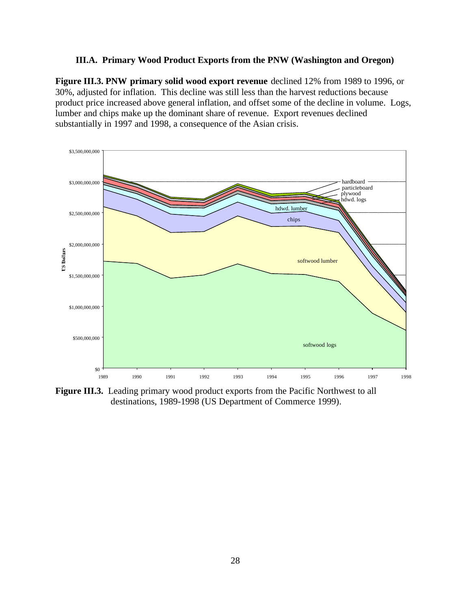### **III.A. Primary Wood Product Exports from the PNW (Washington and Oregon)**

**Figure III.3. PNW primary solid wood export revenue** declined 12% from 1989 to 1996, or 30%, adjusted for inflation. This decline was still less than the harvest reductions because product price increased above general inflation, and offset some of the decline in volume. Logs, lumber and chips make up the dominant share of revenue. Export revenues declined substantially in 1997 and 1998, a consequence of the Asian crisis.



**Figure III.3.** Leading primary wood product exports from the Pacific Northwest to all destinations, 1989-1998 (US Department of Commerce 1999).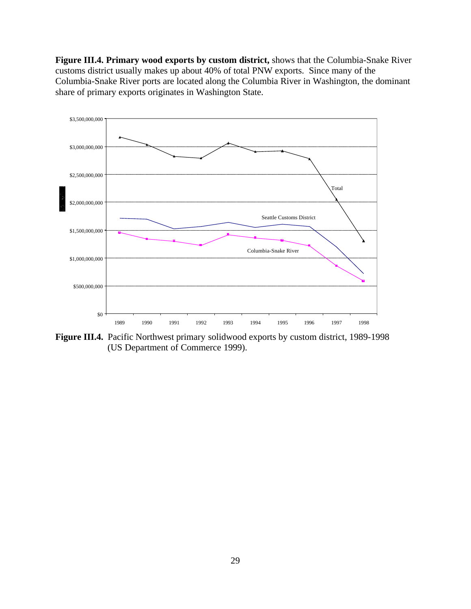**Figure III.4. Primary wood exports by custom district,** shows that the Columbia-Snake River customs district usually makes up about 40% of total PNW exports. Since many of the Columbia-Snake River ports are located along the Columbia River in Washington, the dominant share of primary exports originates in Washington State.



**Figure III.4.** Pacific Northwest primary solidwood exports by custom district, 1989-1998 (US Department of Commerce 1999).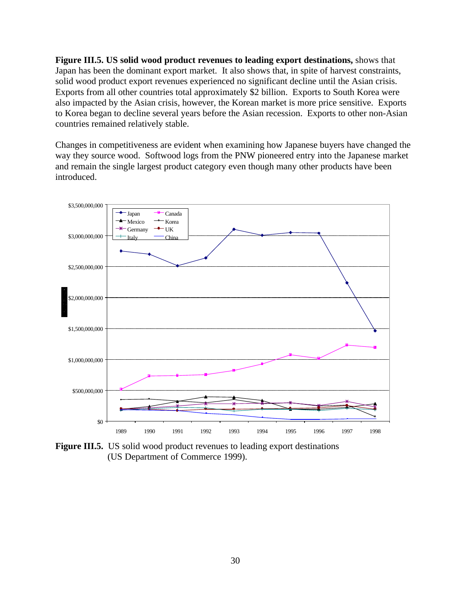**Figure III.5. US solid wood product revenues to leading export destinations,** shows that Japan has been the dominant export market. It also shows that, in spite of harvest constraints, solid wood product export revenues experienced no significant decline until the Asian crisis. Exports from all other countries total approximately \$2 billion. Exports to South Korea were also impacted by the Asian crisis, however, the Korean market is more price sensitive. Exports to Korea began to decline several years before the Asian recession. Exports to other non-Asian countries remained relatively stable.

Changes in competitiveness are evident when examining how Japanese buyers have changed the way they source wood. Softwood logs from the PNW pioneered entry into the Japanese market and remain the single largest product category even though many other products have been introduced.



**Figure III.5.** US solid wood product revenues to leading export destinations (US Department of Commerce 1999).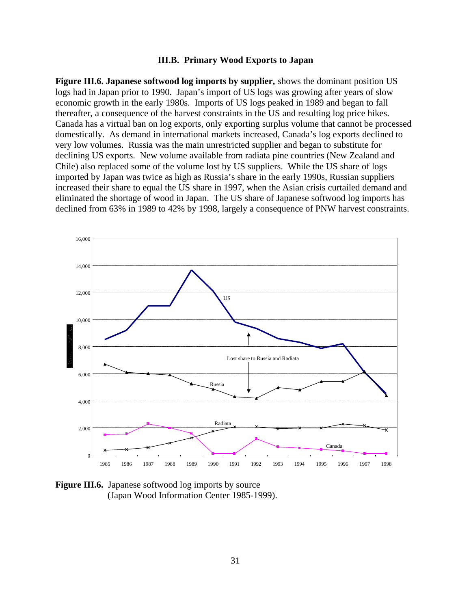#### **III.B. Primary Wood Exports to Japan**

**Figure III.6. Japanese softwood log imports by supplier,** shows the dominant position US logs had in Japan prior to 1990. Japan's import of US logs was growing after years of slow economic growth in the early 1980s. Imports of US logs peaked in 1989 and began to fall thereafter, a consequence of the harvest constraints in the US and resulting log price hikes. Canada has a virtual ban on log exports, only exporting surplus volume that cannot be processed domestically. As demand in international markets increased, Canada's log exports declined to very low volumes. Russia was the main unrestricted supplier and began to substitute for declining US exports. New volume available from radiata pine countries (New Zealand and Chile) also replaced some of the volume lost by US suppliers. While the US share of logs imported by Japan was twice as high as Russia's share in the early 1990s, Russian suppliers increased their share to equal the US share in 1997, when the Asian crisis curtailed demand and eliminated the shortage of wood in Japan. The US share of Japanese softwood log imports has declined from 63% in 1989 to 42% by 1998, largely a consequence of PNW harvest constraints.



**Figure III.6.** Japanese softwood log imports by source (Japan Wood Information Center 1985-1999).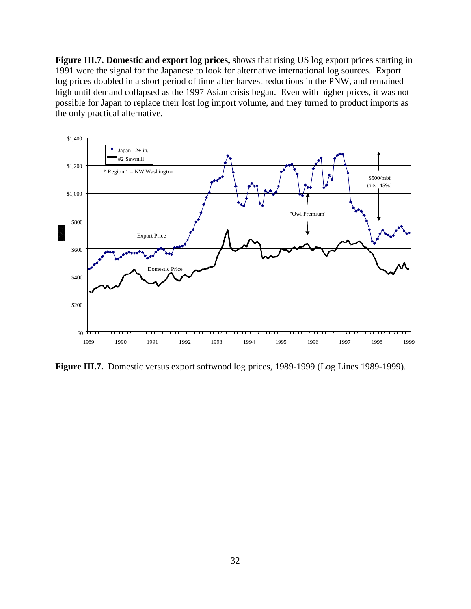**Figure III.7. Domestic and export log prices,** shows that rising US log export prices starting in 1991 were the signal for the Japanese to look for alternative international log sources. Export log prices doubled in a short period of time after harvest reductions in the PNW, and remained high until demand collapsed as the 1997 Asian crisis began. Even with higher prices, it was not possible for Japan to replace their lost log import volume, and they turned to product imports as the only practical alternative.



**Figure III.7.** Domestic versus export softwood log prices, 1989-1999 (Log Lines 1989-1999).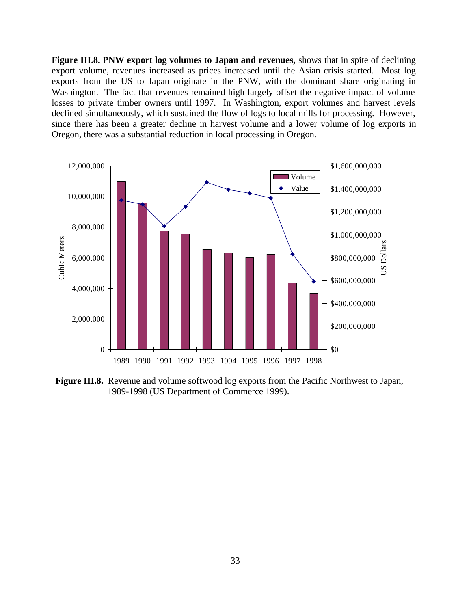**Figure III.8. PNW export log volumes to Japan and revenues,** shows that in spite of declining export volume, revenues increased as prices increased until the Asian crisis started. Most log exports from the US to Japan originate in the PNW, with the dominant share originating in Washington. The fact that revenues remained high largely offset the negative impact of volume losses to private timber owners until 1997. In Washington, export volumes and harvest levels declined simultaneously, which sustained the flow of logs to local mills for processing. However, since there has been a greater decline in harvest volume and a lower volume of log exports in Oregon, there was a substantial reduction in local processing in Oregon.



**Figure III.8.** Revenue and volume softwood log exports from the Pacific Northwest to Japan, 1989-1998 (US Department of Commerce 1999).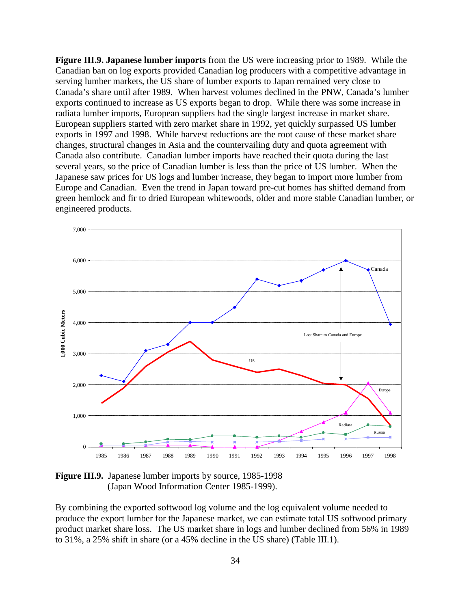**Figure III.9. Japanese lumber imports** from the US were increasing prior to 1989. While the Canadian ban on log exports provided Canadian log producers with a competitive advantage in serving lumber markets, the US share of lumber exports to Japan remained very close to Canada's share until after 1989. When harvest volumes declined in the PNW, Canada's lumber exports continued to increase as US exports began to drop. While there was some increase in radiata lumber imports, European suppliers had the single largest increase in market share. European suppliers started with zero market share in 1992, yet quickly surpassed US lumber exports in 1997 and 1998. While harvest reductions are the root cause of these market share changes, structural changes in Asia and the countervailing duty and quota agreement with Canada also contribute. Canadian lumber imports have reached their quota during the last several years, so the price of Canadian lumber is less than the price of US lumber. When the Japanese saw prices for US logs and lumber increase, they began to import more lumber from Europe and Canadian. Even the trend in Japan toward pre-cut homes has shifted demand from green hemlock and fir to dried European whitewoods, older and more stable Canadian lumber, or engineered products.



**Figure III.9.** Japanese lumber imports by source, 1985-1998 (Japan Wood Information Center 1985-1999).

By combining the exported softwood log volume and the log equivalent volume needed to produce the export lumber for the Japanese market, we can estimate total US softwood primary product market share loss. The US market share in logs and lumber declined from 56% in 1989 to 31%, a 25% shift in share (or a 45% decline in the US share) (Table III.1).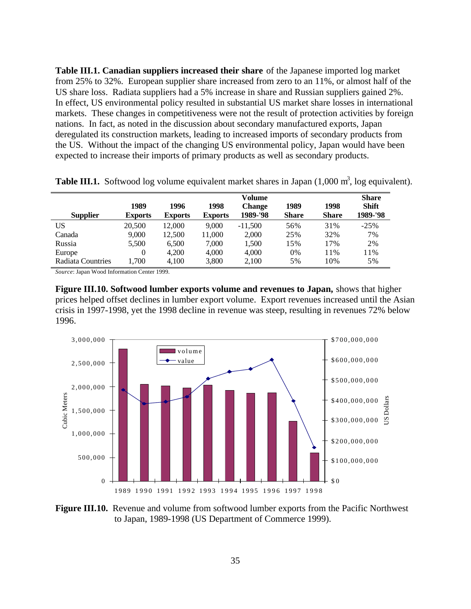**Table III.1. Canadian suppliers increased their share** of the Japanese imported log market from 25% to 32%. European supplier share increased from zero to an 11%, or almost half of the US share loss. Radiata suppliers had a 5% increase in share and Russian suppliers gained 2%. In effect, US environmental policy resulted in substantial US market share losses in international markets. These changes in competitiveness were not the result of protection activities by foreign nations. In fact, as noted in the discussion about secondary manufactured exports, Japan deregulated its construction markets, leading to increased imports of secondary products from the US. Without the impact of the changing US environmental policy, Japan would have been expected to increase their imports of primary products as well as secondary products.

|                   |                | Volume         |                |               |              |              |              |
|-------------------|----------------|----------------|----------------|---------------|--------------|--------------|--------------|
|                   | 1989           | 1996           | 1998           | <b>Change</b> | 1989         | 1998         | <b>Shift</b> |
| <b>Supplier</b>   | <b>Exports</b> | <b>Exports</b> | <b>Exports</b> | 1989-'98      | <b>Share</b> | <b>Share</b> | 1989-'98     |
| US                | 20,500         | 12.000         | 9.000          | $-11.500$     | 56%          | 31%          | $-25%$       |
| Canada            | 9,000          | 12.500         | 11,000         | 2,000         | 25%          | 32%          | 7%           |
| Russia            | 5,500          | 6,500          | 7,000          | 1,500         | 15%          | 17%          | 2%           |
| Europe            | $\theta$       | 4.200          | 4.000          | 4,000         | 0%           | 11%          | 11%          |
| Radiata Countries | 1,700          | 4,100          | 3,800          | 2,100         | 5%           | 10%          | 5%           |

**Table III.1.** Softwood log volume equivalent market shares in Japan (1,000 m<sup>3</sup>, log equivalent).

*Source*: Japan Wood Information Center 1999.

**Figure III.10. Softwood lumber exports volume and revenues to Japan,** shows that higher prices helped offset declines in lumber export volume. Export revenues increased until the Asian crisis in 1997-1998, yet the 1998 decline in revenue was steep, resulting in revenues 72% below 1996.



**Figure III.10.** Revenue and volume from softwood lumber exports from the Pacific Northwest to Japan, 1989-1998 (US Department of Commerce 1999).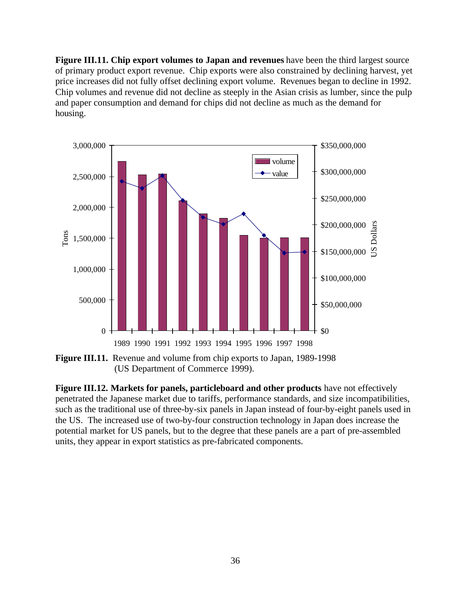**Figure III.11. Chip export volumes to Japan and revenues** have been the third largest source of primary product export revenue. Chip exports were also constrained by declining harvest, yet price increases did not fully offset declining export volume. Revenues began to decline in 1992. Chip volumes and revenue did not decline as steeply in the Asian crisis as lumber, since the pulp and paper consumption and demand for chips did not decline as much as the demand for housing.



**Figure III.11.** Revenue and volume from chip exports to Japan, 1989-1998 (US Department of Commerce 1999).

**Figure III.12. Markets for panels, particleboard and other products** have not effectively penetrated the Japanese market due to tariffs, performance standards, and size incompatibilities, such as the traditional use of three-by-six panels in Japan instead of four-by-eight panels used in the US. The increased use of two-by-four construction technology in Japan does increase the potential market for US panels, but to the degree that these panels are a part of pre-assembled units, they appear in export statistics as pre-fabricated components.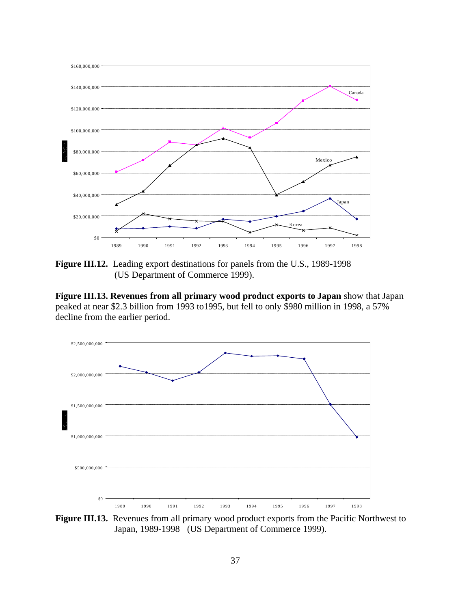

**Figure III.12.** Leading export destinations for panels from the U.S., 1989-1998 (US Department of Commerce 1999).

**Figure III.13. Revenues from all primary wood product exports to Japan** show that Japan peaked at near \$2.3 billion from 1993 to1995, but fell to only \$980 million in 1998, a 57% decline from the earlier period.



Figure III.13. Revenues from all primary wood product exports from the Pacific Northwest to Japan, 1989-1998 (US Department of Commerce 1999).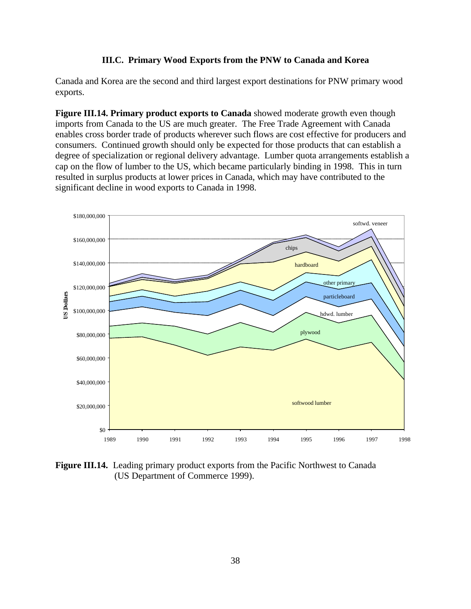### **III.C. Primary Wood Exports from the PNW to Canada and Korea**

Canada and Korea are the second and third largest export destinations for PNW primary wood exports.

**Figure III.14. Primary product exports to Canada** showed moderate growth even though imports from Canada to the US are much greater. The Free Trade Agreement with Canada enables cross border trade of products wherever such flows are cost effective for producers and consumers. Continued growth should only be expected for those products that can establish a degree of specialization or regional delivery advantage. Lumber quota arrangements establish a cap on the flow of lumber to the US, which became particularly binding in 1998. This in turn resulted in surplus products at lower prices in Canada, which may have contributed to the significant decline in wood exports to Canada in 1998.



**Figure III.14.** Leading primary product exports from the Pacific Northwest to Canada (US Department of Commerce 1999).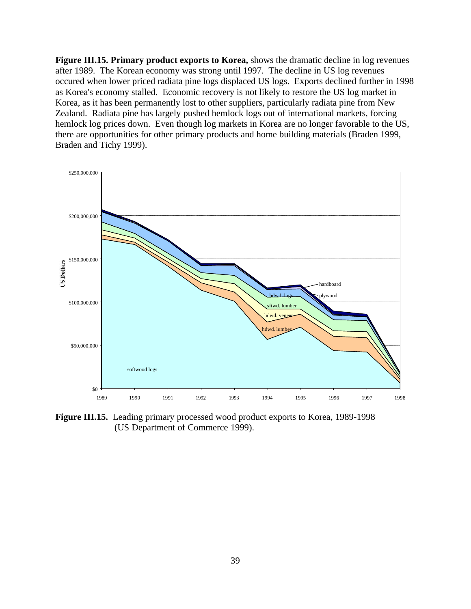**Figure III.15. Primary product exports to Korea,** shows the dramatic decline in log revenues after 1989. The Korean economy was strong until 1997. The decline in US log revenues occured when lower priced radiata pine logs displaced US logs. Exports declined further in 1998 as Korea's economy stalled. Economic recovery is not likely to restore the US log market in Korea, as it has been permanently lost to other suppliers, particularly radiata pine from New Zealand. Radiata pine has largely pushed hemlock logs out of international markets, forcing hemlock log prices down. Even though log markets in Korea are no longer favorable to the US, there are opportunities for other primary products and home building materials (Braden 1999, Braden and Tichy 1999).



**Figure III.15.** Leading primary processed wood product exports to Korea, 1989-1998 (US Department of Commerce 1999).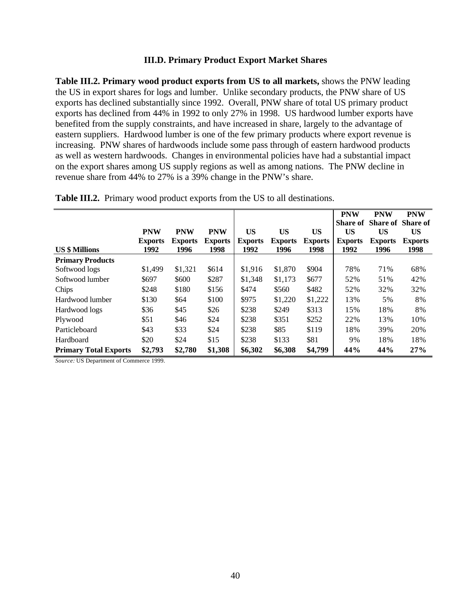#### **III.D. Primary Product Export Market Shares**

**Table III.2. Primary wood product exports from US to all markets,** shows the PNW leading the US in export shares for logs and lumber. Unlike secondary products, the PNW share of US exports has declined substantially since 1992. Overall, PNW share of total US primary product exports has declined from 44% in 1992 to only 27% in 1998. US hardwood lumber exports have benefited from the supply constraints, and have increased in share, largely to the advantage of eastern suppliers. Hardwood lumber is one of the few primary products where export revenue is increasing. PNW shares of hardwoods include some pass through of eastern hardwood products as well as western hardwoods. Changes in environmental policies have had a substantial impact on the export shares among US supply regions as well as among nations. The PNW decline in revenue share from 44% to 27% is a 39% change in the PNW's share.

|                              |                |                |                |                |                |                | <b>PNW</b>      | <b>PNW</b>               | <b>PNW</b>     |
|------------------------------|----------------|----------------|----------------|----------------|----------------|----------------|-----------------|--------------------------|----------------|
|                              |                |                |                |                |                |                | <b>Share of</b> | <b>Share of Share of</b> |                |
|                              | <b>PNW</b>     | <b>PNW</b>     | <b>PNW</b>     | US             | <b>US</b>      | <b>US</b>      | US              | US                       | US             |
|                              | <b>Exports</b> | <b>Exports</b> | <b>Exports</b> | <b>Exports</b> | <b>Exports</b> | <b>Exports</b> | <b>Exports</b>  | <b>Exports</b>           | <b>Exports</b> |
| <b>US \$ Millions</b>        | 1992           | 1996           | 1998           | 1992           | 1996           | 1998           | 1992            | 1996                     | 1998           |
| <b>Primary Products</b>      |                |                |                |                |                |                |                 |                          |                |
| Softwood logs                | \$1,499        | \$1,321        | \$614          | \$1,916        | \$1,870        | \$904          | 78%             | 71%                      | 68%            |
| Softwood lumber              | \$697          | \$600          | \$287          | \$1,348        | \$1,173        | \$677          | 52%             | 51%                      | 42%            |
| Chips                        | \$248          | \$180          | \$156          | \$474          | \$560          | \$482          | 52%             | 32%                      | 32%            |
| Hardwood lumber              | \$130          | \$64           | \$100          | \$975          | \$1,220        | \$1,222        | 13%             | 5%                       | 8%             |
| Hardwood logs                | \$36           | \$45           | \$26           | \$238          | \$249          | \$313          | 15%             | 18%                      | 8%             |
| Plywood                      | \$51           | \$46           | \$24           | \$238          | \$351          | \$252          | 22%             | 13%                      | 10%            |
| Particleboard                | \$43           | \$33           | \$24           | \$238          | \$85           | \$119          | 18%             | 39%                      | 20%            |
| Hardboard                    | \$20           | \$24           | \$15           | \$238          | \$133          | \$81           | 9%              | 18%                      | 18%            |
| <b>Primary Total Exports</b> | \$2,793        | \$2,780        | \$1,308        | \$6,302        | \$6,308        | \$4,799        | 44%             | 44%                      | 27%            |

**Table III.2.** Primary wood product exports from the US to all destinations.

*Source:* US Department of Commerce 1999.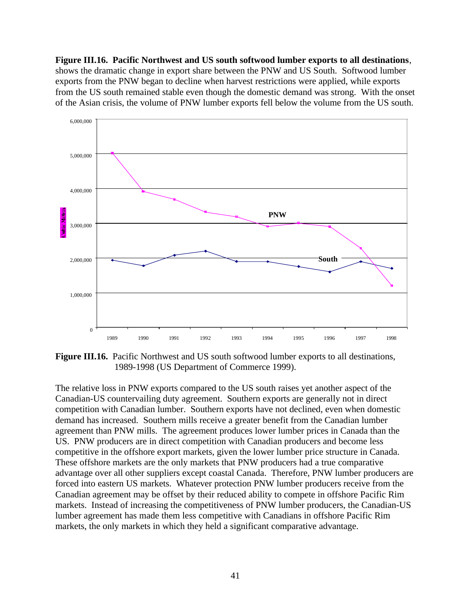**Figure III.16. Pacific Northwest and US south softwood lumber exports to all destinations**, shows the dramatic change in export share between the PNW and US South. Softwood lumber exports from the PNW began to decline when harvest restrictions were applied, while exports from the US south remained stable even though the domestic demand was strong. With the onset of the Asian crisis, the volume of PNW lumber exports fell below the volume from the US south.



**Figure III.16.** Pacific Northwest and US south softwood lumber exports to all destinations, 1989-1998 (US Department of Commerce 1999).

The relative loss in PNW exports compared to the US south raises yet another aspect of the Canadian-US countervailing duty agreement. Southern exports are generally not in direct competition with Canadian lumber. Southern exports have not declined, even when domestic demand has increased. Southern mills receive a greater benefit from the Canadian lumber agreement than PNW mills. The agreement produces lower lumber prices in Canada than the US. PNW producers are in direct competition with Canadian producers and become less competitive in the offshore export markets, given the lower lumber price structure in Canada. These offshore markets are the only markets that PNW producers had a true comparative advantage over all other suppliers except coastal Canada. Therefore, PNW lumber producers are forced into eastern US markets. Whatever protection PNW lumber producers receive from the Canadian agreement may be offset by their reduced ability to compete in offshore Pacific Rim markets. Instead of increasing the competitiveness of PNW lumber producers, the Canadian-US lumber agreement has made them less competitive with Canadians in offshore Pacific Rim markets, the only markets in which they held a significant comparative advantage.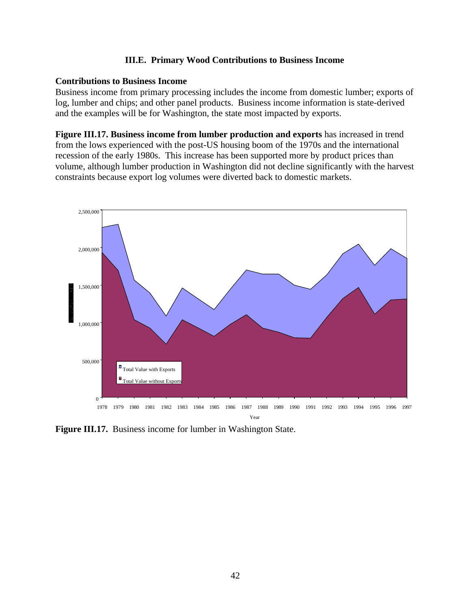### **III.E. Primary Wood Contributions to Business Income**

### **Contributions to Business Income**

Business income from primary processing includes the income from domestic lumber; exports of log, lumber and chips; and other panel products. Business income information is state-derived and the examples will be for Washington, the state most impacted by exports.

**Figure III.17. Business income from lumber production and exports** has increased in trend from the lows experienced with the post-US housing boom of the 1970s and the international recession of the early 1980s. This increase has been supported more by product prices than volume, although lumber production in Washington did not decline significantly with the harvest constraints because export log volumes were diverted back to domestic markets.



**Figure III.17.** Business income for lumber in Washington State.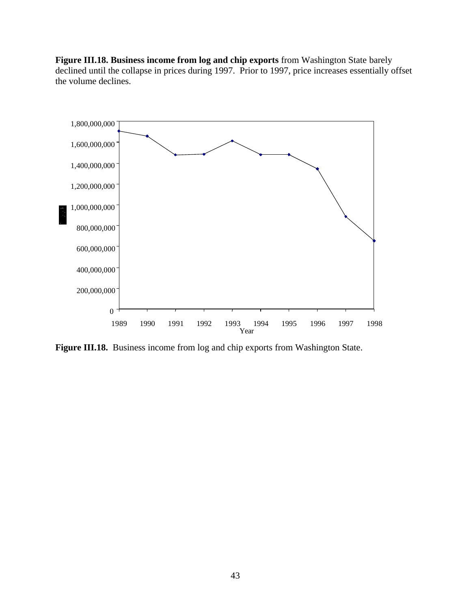**Figure III.18. Business income from log and chip exports** from Washington State barely declined until the collapse in prices during 1997. Prior to 1997, price increases essentially offset the volume declines.



**Figure III.18.** Business income from log and chip exports from Washington State.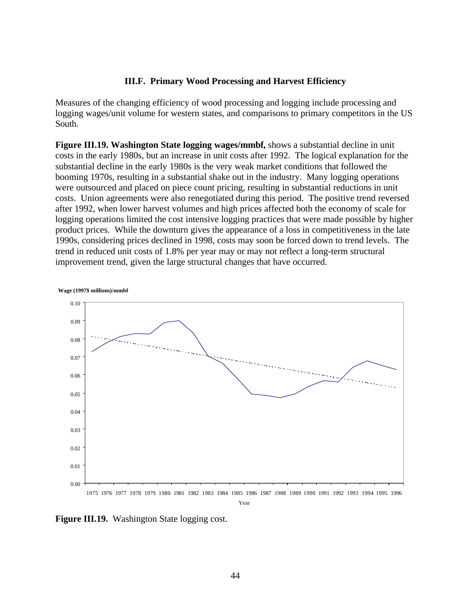### **III.F. Primary Wood Processing and Harvest Efficiency**

Measures of the changing efficiency of wood processing and logging include processing and logging wages/unit volume for western states, and comparisons to primary competitors in the US South.

**Figure III.19. Washington State logging wages/mmbf,** shows a substantial decline in unit costs in the early 1980s, but an increase in unit costs after 1992. The logical explanation for the substantial decline in the early 1980s is the very weak market conditions that followed the booming 1970s, resulting in a substantial shake out in the industry. Many logging operations were outsourced and placed on piece count pricing, resulting in substantial reductions in unit costs. Union agreements were also renegotiated during this period. The positive trend reversed after 1992, when lower harvest volumes and high prices affected both the economy of scale for logging operations limited the cost intensive logging practices that were made possible by higher product prices. While the downturn gives the appearance of a loss in competitiveness in the late 1990s, considering prices declined in 1998, costs may soon be forced down to trend levels. The trend in reduced unit costs of 1.8% per year may or may not reflect a long-term structural improvement trend, given the large structural changes that have occurred.



Year

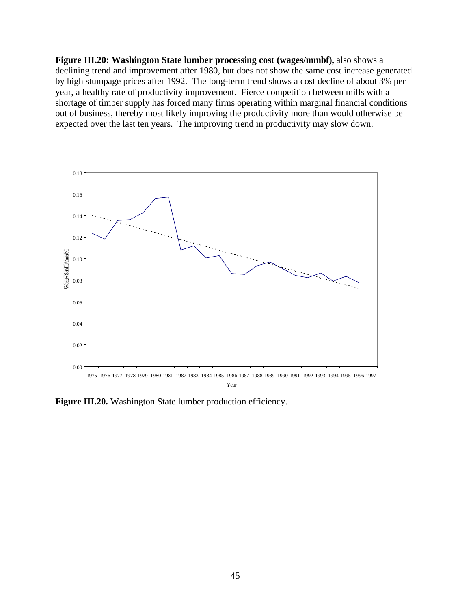**Figure III.20: Washington State lumber processing cost (wages/mmbf),** also shows a declining trend and improvement after 1980, but does not show the same cost increase generated by high stumpage prices after 1992. The long-term trend shows a cost decline of about 3% per year, a healthy rate of productivity improvement. Fierce competition between mills with a shortage of timber supply has forced many firms operating within marginal financial conditions out of business, thereby most likely improving the productivity more than would otherwise be expected over the last ten years. The improving trend in productivity may slow down.



**Figure III.20.** Washington State lumber production efficiency.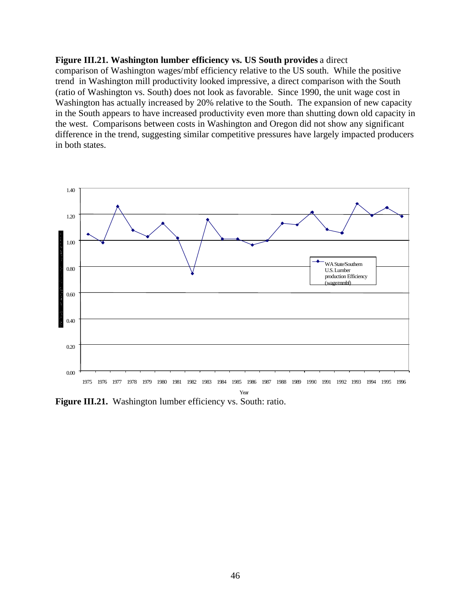### **Figure III.21. Washington lumber efficiency vs. US South provides** a direct

comparison of Washington wages/mbf efficiency relative to the US south. While the positive trend in Washington mill productivity looked impressive, a direct comparison with the South (ratio of Washington vs. South) does not look as favorable. Since 1990, the unit wage cost in Washington has actually increased by 20% relative to the South. The expansion of new capacity in the South appears to have increased productivity even more than shutting down old capacity in the west. Comparisons between costs in Washington and Oregon did not show any significant difference in the trend, suggesting similar competitive pressures have largely impacted producers in both states.



Figure III.21. Washington lumber efficiency vs. South: ratio.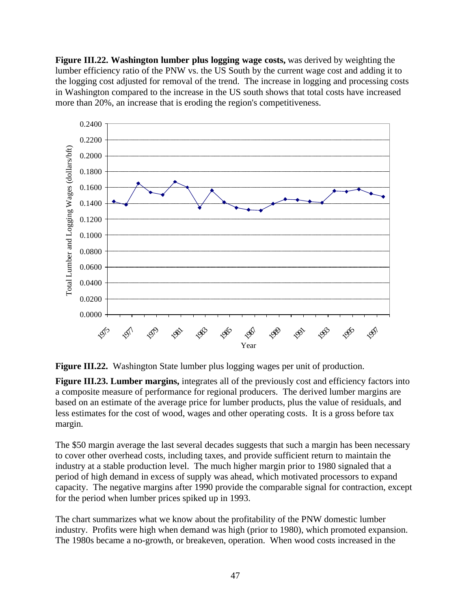**Figure III.22. Washington lumber plus logging wage costs,** was derived by weighting the lumber efficiency ratio of the PNW vs. the US South by the current wage cost and adding it to the logging cost adjusted for removal of the trend. The increase in logging and processing costs in Washington compared to the increase in the US south shows that total costs have increased more than 20%, an increase that is eroding the region's competitiveness.



**Figure III.22.** Washington State lumber plus logging wages per unit of production.

**Figure III.23. Lumber margins,** integrates all of the previously cost and efficiency factors into a composite measure of performance for regional producers. The derived lumber margins are based on an estimate of the average price for lumber products, plus the value of residuals, and less estimates for the cost of wood, wages and other operating costs. It is a gross before tax margin.

The \$50 margin average the last several decades suggests that such a margin has been necessary to cover other overhead costs, including taxes, and provide sufficient return to maintain the industry at a stable production level. The much higher margin prior to 1980 signaled that a period of high demand in excess of supply was ahead, which motivated processors to expand capacity. The negative margins after 1990 provide the comparable signal for contraction, except for the period when lumber prices spiked up in 1993.

The chart summarizes what we know about the profitability of the PNW domestic lumber industry. Profits were high when demand was high (prior to 1980), which promoted expansion. The 1980s became a no-growth, or breakeven, operation. When wood costs increased in the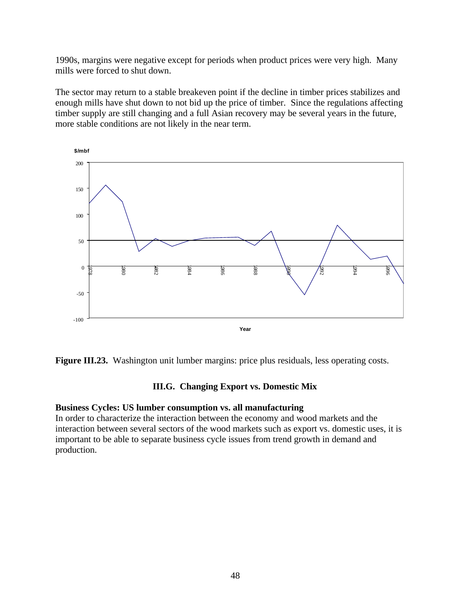1990s, margins were negative except for periods when product prices were very high. Many mills were forced to shut down.

The sector may return to a stable breakeven point if the decline in timber prices stabilizes and enough mills have shut down to not bid up the price of timber. Since the regulations affecting timber supply are still changing and a full Asian recovery may be several years in the future, more stable conditions are not likely in the near term.



Figure III.23. Washington unit lumber margins: price plus residuals, less operating costs.

# **III.G. Changing Export vs. Domestic Mix**

## **Business Cycles: US lumber consumption vs. all manufacturing**

In order to characterize the interaction between the economy and wood markets and the interaction between several sectors of the wood markets such as export vs. domestic uses, it is important to be able to separate business cycle issues from trend growth in demand and production.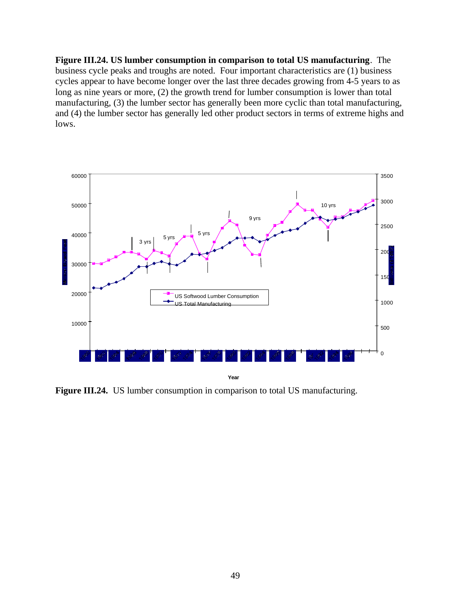**Figure III.24. US lumber consumption in comparison to total US manufacturing**. The business cycle peaks and troughs are noted. Four important characteristics are (1) business cycles appear to have become longer over the last three decades growing from 4-5 years to as long as nine years or more, (2) the growth trend for lumber consumption is lower than total manufacturing, (3) the lumber sector has generally been more cyclic than total manufacturing, and (4) the lumber sector has generally led other product sectors in terms of extreme highs and lows.



Figure III.24. US lumber consumption in comparison to total US manufacturing.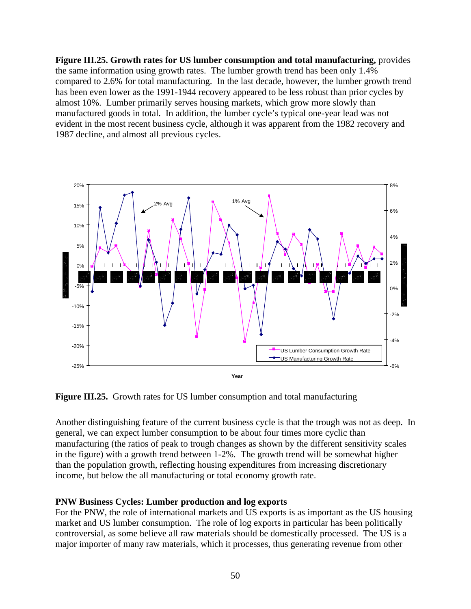**Figure III.25. Growth rates for US lumber consumption and total manufacturing,** provides the same information using growth rates. The lumber growth trend has been only 1.4% compared to 2.6% for total manufacturing. In the last decade, however, the lumber growth trend has been even lower as the 1991-1944 recovery appeared to be less robust than prior cycles by almost 10%. Lumber primarily serves housing markets, which grow more slowly than manufactured goods in total. In addition, the lumber cycle's typical one-year lead was not evident in the most recent business cycle, although it was apparent from the 1982 recovery and 1987 decline, and almost all previous cycles.



**Figure III.25.** Growth rates for US lumber consumption and total manufacturing

Another distinguishing feature of the current business cycle is that the trough was not as deep. In general, we can expect lumber consumption to be about four times more cyclic than manufacturing (the ratios of peak to trough changes as shown by the different sensitivity scales in the figure) with a growth trend between 1-2%. The growth trend will be somewhat higher than the population growth, reflecting housing expenditures from increasing discretionary income, but below the all manufacturing or total economy growth rate.

## **PNW Business Cycles: Lumber production and log exports**

For the PNW, the role of international markets and US exports is as important as the US housing market and US lumber consumption. The role of log exports in particular has been politically controversial, as some believe all raw materials should be domestically processed. The US is a major importer of many raw materials, which it processes, thus generating revenue from other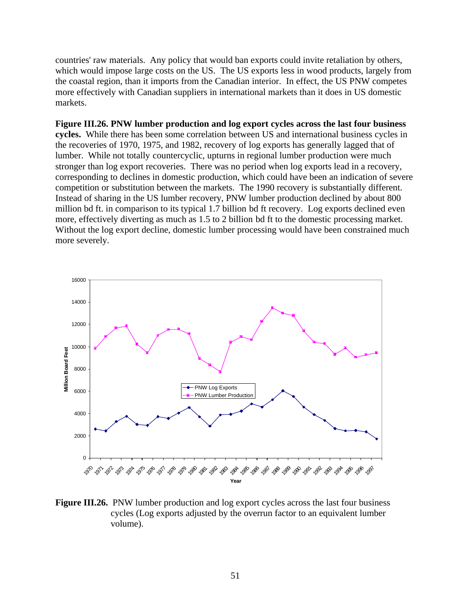countries' raw materials. Any policy that would ban exports could invite retaliation by others, which would impose large costs on the US. The US exports less in wood products, largely from the coastal region, than it imports from the Canadian interior. In effect, the US PNW competes more effectively with Canadian suppliers in international markets than it does in US domestic markets.

**Figure III.26. PNW lumber production and log export cycles across the last four business cycles.** While there has been some correlation between US and international business cycles in the recoveries of 1970, 1975, and 1982, recovery of log exports has generally lagged that of lumber. While not totally countercyclic, upturns in regional lumber production were much stronger than log export recoveries. There was no period when log exports lead in a recovery, corresponding to declines in domestic production, which could have been an indication of severe competition or substitution between the markets. The 1990 recovery is substantially different. Instead of sharing in the US lumber recovery, PNW lumber production declined by about 800 million bd ft. in comparison to its typical 1.7 billion bd ft recovery. Log exports declined even more, effectively diverting as much as 1.5 to 2 billion bd ft to the domestic processing market. Without the log export decline, domestic lumber processing would have been constrained much more severely.



**Figure III.26.** PNW lumber production and log export cycles across the last four business cycles (Log exports adjusted by the overrun factor to an equivalent lumber volume).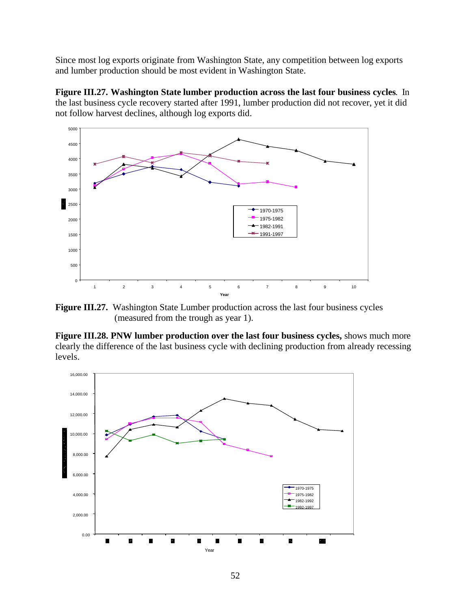Since most log exports originate from Washington State, any competition between log exports and lumber production should be most evident in Washington State.

**Figure III.27. Washington State lumber production across the last four business cycles**. In the last business cycle recovery started after 1991, lumber production did not recover, yet it did not follow harvest declines, although log exports did.



**Figure III.27.** Washington State Lumber production across the last four business cycles (measured from the trough as year 1).

**Figure III.28. PNW lumber production over the last four business cycles,** shows much more clearly the difference of the last business cycle with declining production from already recessing levels.

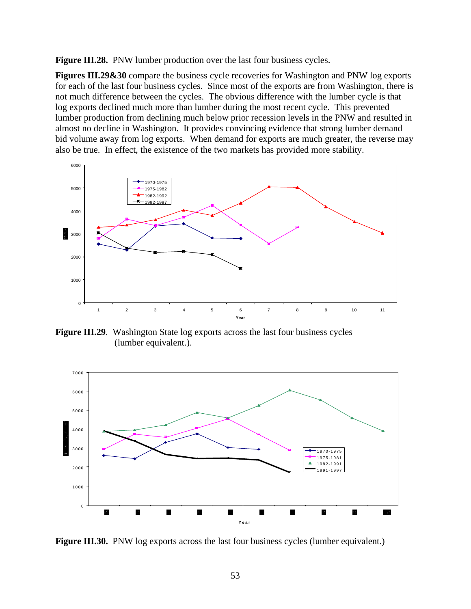**Figure III.28.** PNW lumber production over the last four business cycles.

**Figures III.29&30** compare the business cycle recoveries for Washington and PNW log exports for each of the last four business cycles. Since most of the exports are from Washington, there is not much difference between the cycles. The obvious difference with the lumber cycle is that log exports declined much more than lumber during the most recent cycle. This prevented lumber production from declining much below prior recession levels in the PNW and resulted in almost no decline in Washington. It provides convincing evidence that strong lumber demand bid volume away from log exports. When demand for exports are much greater, the reverse may also be true. In effect, the existence of the two markets has provided more stability.



**Figure III.29**. Washington State log exports across the last four business cycles (lumber equivalent.).



Figure III.30. PNW log exports across the last four business cycles (lumber equivalent.)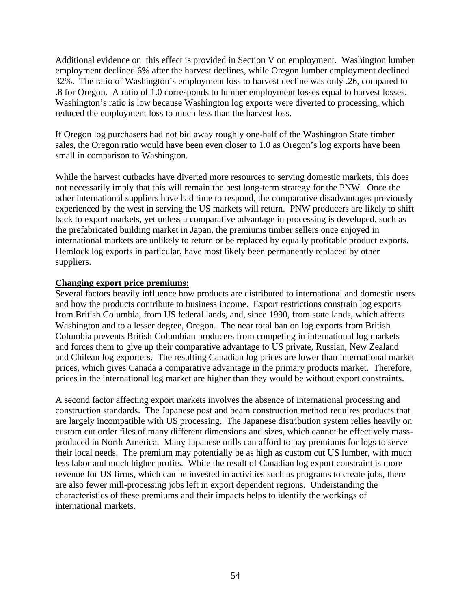Additional evidence on this effect is provided in Section V on employment. Washington lumber employment declined 6% after the harvest declines, while Oregon lumber employment declined 32%. The ratio of Washington's employment loss to harvest decline was only .26, compared to .8 for Oregon. A ratio of 1.0 corresponds to lumber employment losses equal to harvest losses. Washington's ratio is low because Washington log exports were diverted to processing, which reduced the employment loss to much less than the harvest loss.

If Oregon log purchasers had not bid away roughly one-half of the Washington State timber sales, the Oregon ratio would have been even closer to 1.0 as Oregon's log exports have been small in comparison to Washington.

While the harvest cutbacks have diverted more resources to serving domestic markets, this does not necessarily imply that this will remain the best long-term strategy for the PNW. Once the other international suppliers have had time to respond, the comparative disadvantages previously experienced by the west in serving the US markets will return. PNW producers are likely to shift back to export markets, yet unless a comparative advantage in processing is developed, such as the prefabricated building market in Japan, the premiums timber sellers once enjoyed in international markets are unlikely to return or be replaced by equally profitable product exports. Hemlock log exports in particular, have most likely been permanently replaced by other suppliers.

## **Changing export price premiums:**

Several factors heavily influence how products are distributed to international and domestic users and how the products contribute to business income. Export restrictions constrain log exports from British Columbia, from US federal lands, and, since 1990, from state lands, which affects Washington and to a lesser degree, Oregon. The near total ban on log exports from British Columbia prevents British Columbian producers from competing in international log markets and forces them to give up their comparative advantage to US private, Russian, New Zealand and Chilean log exporters. The resulting Canadian log prices are lower than international market prices, which gives Canada a comparative advantage in the primary products market. Therefore, prices in the international log market are higher than they would be without export constraints.

A second factor affecting export markets involves the absence of international processing and construction standards. The Japanese post and beam construction method requires products that are largely incompatible with US processing. The Japanese distribution system relies heavily on custom cut order files of many different dimensions and sizes, which cannot be effectively massproduced in North America. Many Japanese mills can afford to pay premiums for logs to serve their local needs. The premium may potentially be as high as custom cut US lumber, with much less labor and much higher profits. While the result of Canadian log export constraint is more revenue for US firms, which can be invested in activities such as programs to create jobs, there are also fewer mill-processing jobs left in export dependent regions. Understanding the characteristics of these premiums and their impacts helps to identify the workings of international markets.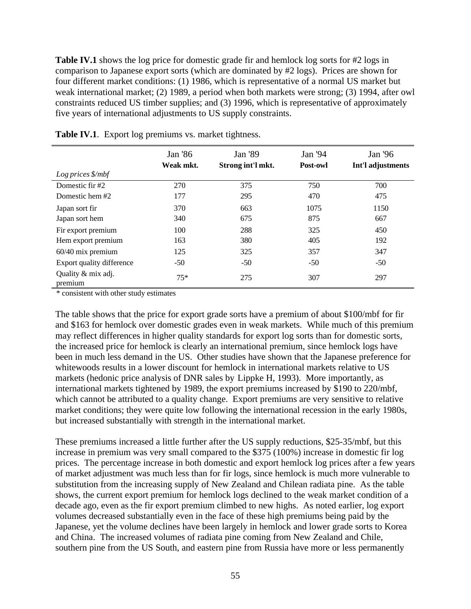**Table IV.1** shows the log price for domestic grade fir and hemlock log sorts for #2 logs in comparison to Japanese export sorts (which are dominated by #2 logs). Prices are shown for four different market conditions: (1) 1986, which is representative of a normal US market but weak international market; (2) 1989, a period when both markets were strong; (3) 1994, after owl constraints reduced US timber supplies; and (3) 1996, which is representative of approximately five years of international adjustments to US supply constraints.

|                               | Jan '86<br>Weak mkt. | Jan '89<br>Jan '94<br>Strong int'l mkt.<br>Post-owl |       | Jan '96<br>Int'l adjustments |  |
|-------------------------------|----------------------|-----------------------------------------------------|-------|------------------------------|--|
| Log prices \$/mbf             |                      |                                                     |       |                              |  |
| Domestic fir #2               | 270                  | 375                                                 | 750   | 700                          |  |
| Domestic hem #2               | 177                  | 295                                                 | 470   | 475                          |  |
| Japan sort fir                | 370                  | 663                                                 | 1075  | 1150                         |  |
| Japan sort hem                | 340                  | 675                                                 | 875   | 667                          |  |
| Fir export premium            | 100                  | 288                                                 | 325   | 450                          |  |
| Hem export premium            | 163                  | 380                                                 | 405   | 192                          |  |
| $60/40$ mix premium           | 125                  | 325                                                 | 357   | 347                          |  |
| Export quality difference     | $-50$                | $-50$                                               | $-50$ | $-50$                        |  |
| Quality & mix adj.<br>premium | $75*$                | 275                                                 | 307   | 297                          |  |

**Table IV.1.** Export log premiums vs. market tightness.

\* consistent with other study estimates

The table shows that the price for export grade sorts have a premium of about \$100/mbf for fir and \$163 for hemlock over domestic grades even in weak markets. While much of this premium may reflect differences in higher quality standards for export log sorts than for domestic sorts, the increased price for hemlock is clearly an international premium, since hemlock logs have been in much less demand in the US. Other studies have shown that the Japanese preference for whitewoods results in a lower discount for hemlock in international markets relative to US markets (hedonic price analysis of DNR sales by Lippke H, 1993). More importantly, as international markets tightened by 1989, the export premiums increased by \$190 to 220/mbf, which cannot be attributed to a quality change. Export premiums are very sensitive to relative market conditions; they were quite low following the international recession in the early 1980s, but increased substantially with strength in the international market.

These premiums increased a little further after the US supply reductions, \$25-35/mbf, but this increase in premium was very small compared to the \$375 (100%) increase in domestic fir log prices. The percentage increase in both domestic and export hemlock log prices after a few years of market adjustment was much less than for fir logs, since hemlock is much more vulnerable to substitution from the increasing supply of New Zealand and Chilean radiata pine. As the table shows, the current export premium for hemlock logs declined to the weak market condition of a decade ago, even as the fir export premium climbed to new highs. As noted earlier, log export volumes decreased substantially even in the face of these high premiums being paid by the Japanese, yet the volume declines have been largely in hemlock and lower grade sorts to Korea and China. The increased volumes of radiata pine coming from New Zealand and Chile, southern pine from the US South, and eastern pine from Russia have more or less permanently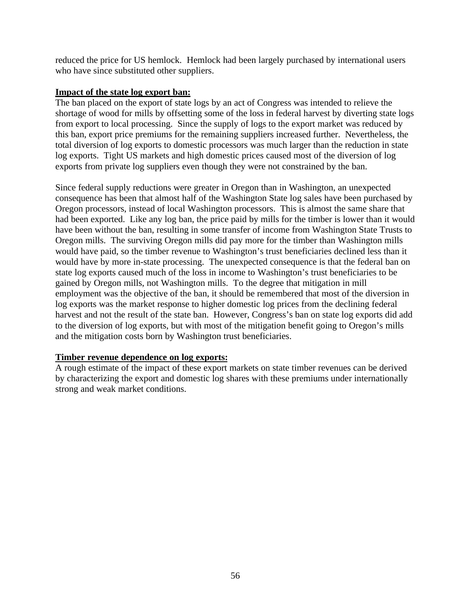reduced the price for US hemlock. Hemlock had been largely purchased by international users who have since substituted other suppliers.

## **Impact of the state log export ban:**

The ban placed on the export of state logs by an act of Congress was intended to relieve the shortage of wood for mills by offsetting some of the loss in federal harvest by diverting state logs from export to local processing. Since the supply of logs to the export market was reduced by this ban, export price premiums for the remaining suppliers increased further. Nevertheless, the total diversion of log exports to domestic processors was much larger than the reduction in state log exports. Tight US markets and high domestic prices caused most of the diversion of log exports from private log suppliers even though they were not constrained by the ban.

Since federal supply reductions were greater in Oregon than in Washington, an unexpected consequence has been that almost half of the Washington State log sales have been purchased by Oregon processors, instead of local Washington processors. This is almost the same share that had been exported. Like any log ban, the price paid by mills for the timber is lower than it would have been without the ban, resulting in some transfer of income from Washington State Trusts to Oregon mills. The surviving Oregon mills did pay more for the timber than Washington mills would have paid, so the timber revenue to Washington's trust beneficiaries declined less than it would have by more in-state processing. The unexpected consequence is that the federal ban on state log exports caused much of the loss in income to Washington's trust beneficiaries to be gained by Oregon mills, not Washington mills. To the degree that mitigation in mill employment was the objective of the ban, it should be remembered that most of the diversion in log exports was the market response to higher domestic log prices from the declining federal harvest and not the result of the state ban. However, Congress's ban on state log exports did add to the diversion of log exports, but with most of the mitigation benefit going to Oregon's mills and the mitigation costs born by Washington trust beneficiaries.

# **Timber revenue dependence on log exports:**

A rough estimate of the impact of these export markets on state timber revenues can be derived by characterizing the export and domestic log shares with these premiums under internationally strong and weak market conditions.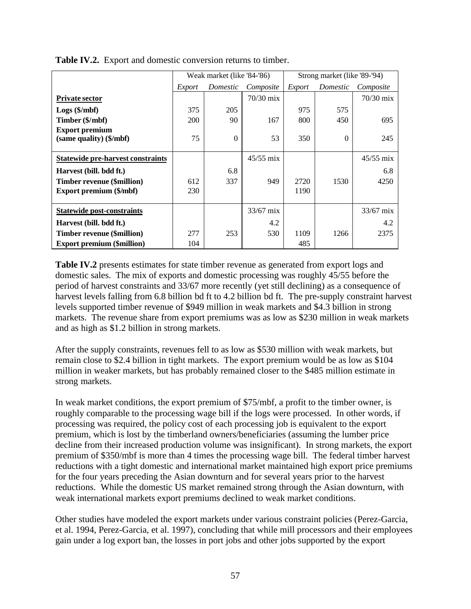|                                          |        | Weak market (like '84-'86) |             | Strong market (like '89-'94) |           |             |
|------------------------------------------|--------|----------------------------|-------------|------------------------------|-----------|-------------|
|                                          | Export | Domestic                   | Composite   | Export                       | Composite |             |
| <b>Private sector</b>                    |        |                            | 70/30 mix   |                              |           | $70/30$ mix |
| $Logs$ (\$/mbf)                          | 375    | 205                        |             | 975                          | 575       |             |
| Timber (\$/mbf)                          | 200    | 90                         | 167         | 800                          | 450       | 695         |
| <b>Export premium</b>                    |        |                            |             |                              |           |             |
| (same quality) (\$/mbf)                  | 75     | $\Omega$                   | 53          | 350                          | $\Omega$  | 245         |
|                                          |        |                            |             |                              |           |             |
| <b>Statewide pre-harvest constraints</b> |        |                            | $45/55$ mix |                              |           | $45/55$ mix |
| Harvest (bill. bdd ft.)                  |        | 6.8                        |             |                              |           | 6.8         |
| <b>Timber revenue (\$million)</b>        | 612    | 337                        | 949         | 2720                         | 1530      | 4250        |
| Export premium (\$/mbf)                  | 230    |                            |             | 1190                         |           |             |
|                                          |        |                            |             |                              |           |             |
| <b>Statewide post-constraints</b>        |        |                            | $33/67$ mix |                              |           | $33/67$ mix |
| Harvest (bill. bdd ft.)                  |        |                            | 4.2         |                              |           | 4.2         |
| <b>Timber revenue (\$million)</b>        | 277    | 253                        | 530         | 1109                         | 1266      | 2375        |
| <b>Export premium (\$million)</b>        | 104    |                            |             | 485                          |           |             |

**Table IV.2.** Export and domestic conversion returns to timber.

**Table IV.2** presents estimates for state timber revenue as generated from export logs and domestic sales. The mix of exports and domestic processing was roughly 45/55 before the period of harvest constraints and 33/67 more recently (yet still declining) as a consequence of harvest levels falling from 6.8 billion bd ft to 4.2 billion bd ft. The pre-supply constraint harvest levels supported timber revenue of \$949 million in weak markets and \$4.3 billion in strong markets. The revenue share from export premiums was as low as \$230 million in weak markets and as high as \$1.2 billion in strong markets.

After the supply constraints, revenues fell to as low as \$530 million with weak markets, but remain close to \$2.4 billion in tight markets. The export premium would be as low as \$104 million in weaker markets, but has probably remained closer to the \$485 million estimate in strong markets.

In weak market conditions, the export premium of \$75/mbf, a profit to the timber owner, is roughly comparable to the processing wage bill if the logs were processed. In other words, if processing was required, the policy cost of each processing job is equivalent to the export premium, which is lost by the timberland owners/beneficiaries (assuming the lumber price decline from their increased production volume was insignificant). In strong markets, the export premium of \$350/mbf is more than 4 times the processing wage bill. The federal timber harvest reductions with a tight domestic and international market maintained high export price premiums for the four years preceding the Asian downturn and for several years prior to the harvest reductions. While the domestic US market remained strong through the Asian downturn, with weak international markets export premiums declined to weak market conditions.

Other studies have modeled the export markets under various constraint policies (Perez-Garcia, et al. 1994, Perez-Garcia, et al. 1997), concluding that while mill processors and their employees gain under a log export ban, the losses in port jobs and other jobs supported by the export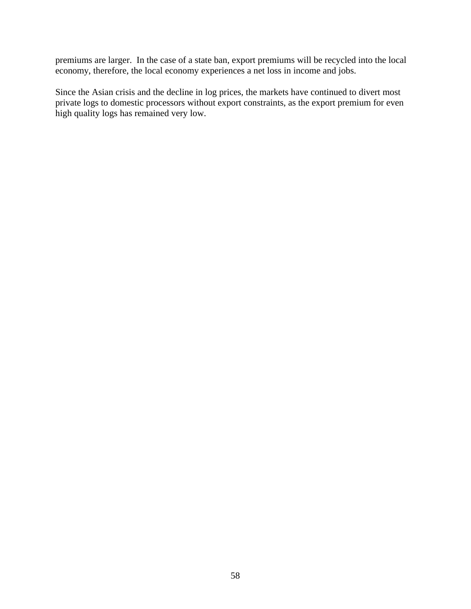premiums are larger. In the case of a state ban, export premiums will be recycled into the local economy, therefore, the local economy experiences a net loss in income and jobs.

Since the Asian crisis and the decline in log prices, the markets have continued to divert most private logs to domestic processors without export constraints, as the export premium for even high quality logs has remained very low.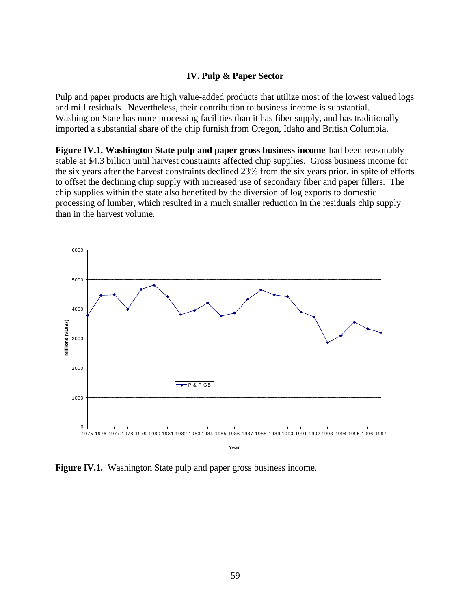## **IV. Pulp & Paper Sector**

Pulp and paper products are high value-added products that utilize most of the lowest valued logs and mill residuals. Nevertheless, their contribution to business income is substantial. Washington State has more processing facilities than it has fiber supply, and has traditionally imported a substantial share of the chip furnish from Oregon, Idaho and British Columbia.

**Figure IV.1. Washington State pulp and paper gross business income** had been reasonably stable at \$4.3 billion until harvest constraints affected chip supplies. Gross business income for the six years after the harvest constraints declined 23% from the six years prior, in spite of efforts to offset the declining chip supply with increased use of secondary fiber and paper fillers. The chip supplies within the state also benefited by the diversion of log exports to domestic processing of lumber, which resulted in a much smaller reduction in the residuals chip supply than in the harvest volume.



**Year**

**Figure IV.1.** Washington State pulp and paper gross business income.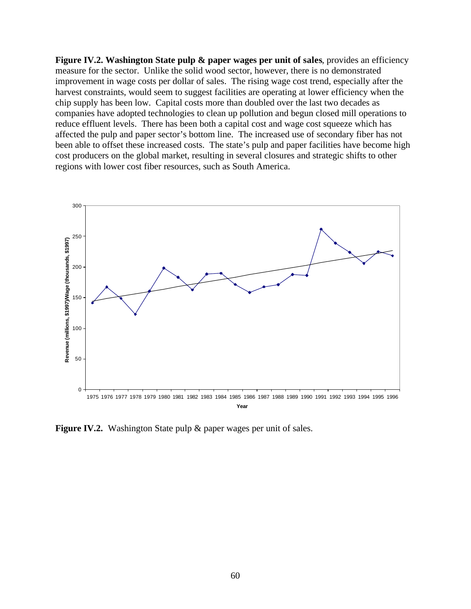**Figure IV.2. Washington State pulp & paper wages per unit of sales, provides an efficiency** measure for the sector. Unlike the solid wood sector, however, there is no demonstrated improvement in wage costs per dollar of sales. The rising wage cost trend, especially after the harvest constraints, would seem to suggest facilities are operating at lower efficiency when the chip supply has been low. Capital costs more than doubled over the last two decades as companies have adopted technologies to clean up pollution and begun closed mill operations to reduce effluent levels. There has been both a capital cost and wage cost squeeze which has affected the pulp and paper sector's bottom line. The increased use of secondary fiber has not been able to offset these increased costs. The state's pulp and paper facilities have become high cost producers on the global market, resulting in several closures and strategic shifts to other regions with lower cost fiber resources, such as South America.



**Figure IV.2.** Washington State pulp & paper wages per unit of sales.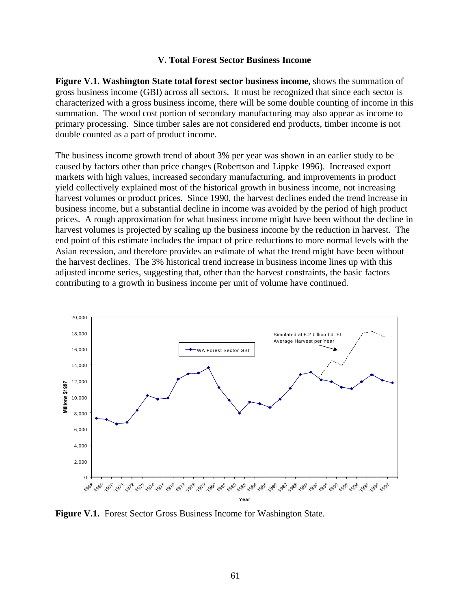#### **V. Total Forest Sector Business Income**

**Figure V.1. Washington State total forest sector business income,** shows the summation of gross business income (GBI) across all sectors. It must be recognized that since each sector is characterized with a gross business income, there will be some double counting of income in this summation. The wood cost portion of secondary manufacturing may also appear as income to primary processing. Since timber sales are not considered end products, timber income is not double counted as a part of product income.

The business income growth trend of about 3% per year was shown in an earlier study to be caused by factors other than price changes (Robertson and Lippke 1996). Increased export markets with high values, increased secondary manufacturing, and improvements in product yield collectively explained most of the historical growth in business income, not increasing harvest volumes or product prices. Since 1990, the harvest declines ended the trend increase in business income, but a substantial decline in income was avoided by the period of high product prices. A rough approximation for what business income might have been without the decline in harvest volumes is projected by scaling up the business income by the reduction in harvest. The end point of this estimate includes the impact of price reductions to more normal levels with the Asian recession, and therefore provides an estimate of what the trend might have been without the harvest declines. The 3% historical trend increase in business income lines up with this adjusted income series, suggesting that, other than the harvest constraints, the basic factors contributing to a growth in business income per unit of volume have continued.



**Figure V.1.** Forest Sector Gross Business Income for Washington State.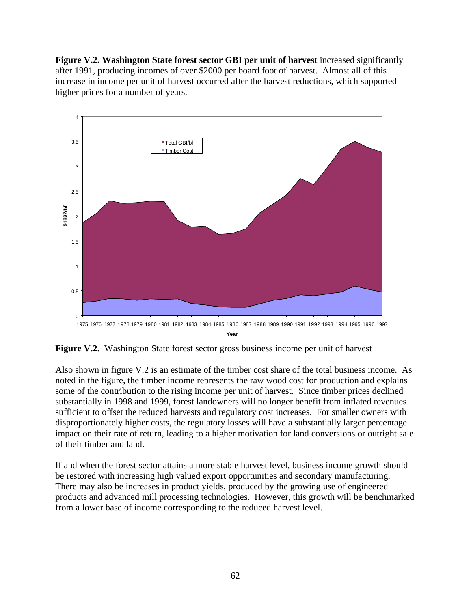**Figure V.2. Washington State forest sector GBI per unit of harvest** increased significantly after 1991, producing incomes of over \$2000 per board foot of harvest. Almost all of this increase in income per unit of harvest occurred after the harvest reductions, which supported higher prices for a number of years.



**Year**

**Figure V.2.** Washington State forest sector gross business income per unit of harvest

Also shown in figure V.2 is an estimate of the timber cost share of the total business income. As noted in the figure, the timber income represents the raw wood cost for production and explains some of the contribution to the rising income per unit of harvest. Since timber prices declined substantially in 1998 and 1999, forest landowners will no longer benefit from inflated revenues sufficient to offset the reduced harvests and regulatory cost increases. For smaller owners with disproportionately higher costs, the regulatory losses will have a substantially larger percentage impact on their rate of return, leading to a higher motivation for land conversions or outright sale of their timber and land.

If and when the forest sector attains a more stable harvest level, business income growth should be restored with increasing high valued export opportunities and secondary manufacturing. There may also be increases in product yields, produced by the growing use of engineered products and advanced mill processing technologies. However, this growth will be benchmarked from a lower base of income corresponding to the reduced harvest level.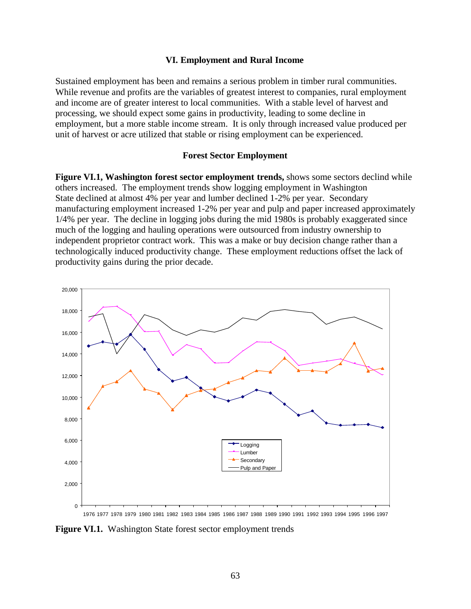#### **VI. Employment and Rural Income**

Sustained employment has been and remains a serious problem in timber rural communities. While revenue and profits are the variables of greatest interest to companies, rural employment and income are of greater interest to local communities. With a stable level of harvest and processing, we should expect some gains in productivity, leading to some decline in employment, but a more stable income stream. It is only through increased value produced per unit of harvest or acre utilized that stable or rising employment can be experienced.

#### **Forest Sector Employment**

**Figure VI.1, Washington forest sector employment trends,** shows some sectors declind while others increased. The employment trends show logging employment in Washington State declined at almost 4% per year and lumber declined 1-2% per year. Secondary manufacturing employment increased 1-2% per year and pulp and paper increased approximately 1/4% per year. The decline in logging jobs during the mid 1980s is probably exaggerated since much of the logging and hauling operations were outsourced from industry ownership to independent proprietor contract work. This was a make or buy decision change rather than a technologically induced productivity change. These employment reductions offset the lack of productivity gains during the prior decade.



**Figure VI.1.** Washington State forest sector employment trends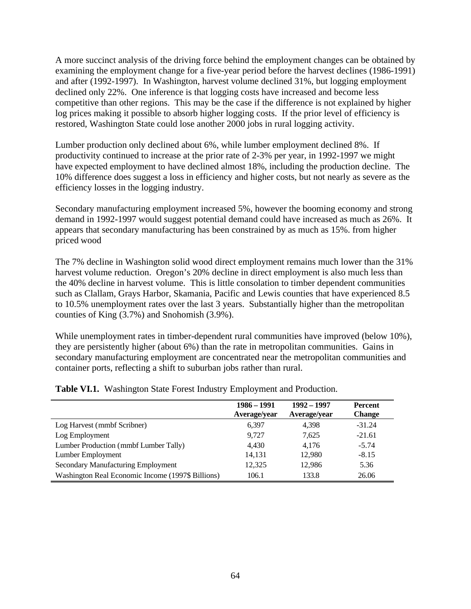A more succinct analysis of the driving force behind the employment changes can be obtained by examining the employment change for a five-year period before the harvest declines (1986-1991) and after (1992-1997). In Washington, harvest volume declined 31%, but logging employment declined only 22%. One inference is that logging costs have increased and become less competitive than other regions. This may be the case if the difference is not explained by higher log prices making it possible to absorb higher logging costs. If the prior level of efficiency is restored, Washington State could lose another 2000 jobs in rural logging activity.

Lumber production only declined about 6%, while lumber employment declined 8%. If productivity continued to increase at the prior rate of 2-3% per year, in 1992-1997 we might have expected employment to have declined almost 18%, including the production decline. The 10% difference does suggest a loss in efficiency and higher costs, but not nearly as severe as the efficiency losses in the logging industry.

Secondary manufacturing employment increased 5%, however the booming economy and strong demand in 1992-1997 would suggest potential demand could have increased as much as 26%. It appears that secondary manufacturing has been constrained by as much as 15%. from higher priced wood

The 7% decline in Washington solid wood direct employment remains much lower than the 31% harvest volume reduction. Oregon's 20% decline in direct employment is also much less than the 40% decline in harvest volume. This is little consolation to timber dependent communities such as Clallam, Grays Harbor, Skamania, Pacific and Lewis counties that have experienced 8.5 to 10.5% unemployment rates over the last 3 years. Substantially higher than the metropolitan counties of King (3.7%) and Snohomish (3.9%).

While unemployment rates in timber-dependent rural communities have improved (below 10%), they are persistently higher (about 6%) than the rate in metropolitan communities. Gains in secondary manufacturing employment are concentrated near the metropolitan communities and container ports, reflecting a shift to suburban jobs rather than rural.

|                                                   | 1986 - 1991<br>Average/year | 1992 - 1997<br>Average/year | <b>Percent</b><br><b>Change</b> |
|---------------------------------------------------|-----------------------------|-----------------------------|---------------------------------|
| Log Harvest (mmbf Scribner)                       | 6.397                       | 4,398                       | $-31.24$                        |
| Log Employment                                    | 9,727                       | 7,625                       | $-21.61$                        |
| Lumber Production (mmbf Lumber Tally)             | 4.430                       | 4.176                       | $-5.74$                         |
| Lumber Employment                                 | 14,131                      | 12,980                      | $-8.15$                         |
| Secondary Manufacturing Employment                | 12,325                      | 12,986                      | 5.36                            |
| Washington Real Economic Income (1997\$ Billions) | 106.1                       | 133.8                       | 26.06                           |

**Table VI.1.** Washington State Forest Industry Employment and Production.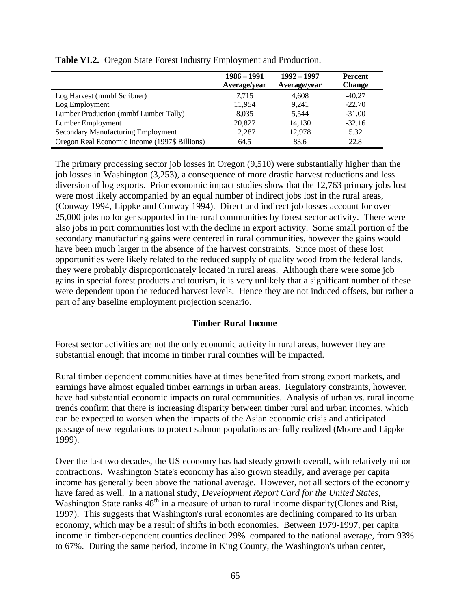|                                               | 1986 – 1991<br>Average/year | 1992 – 1997<br>Average/year | <b>Percent</b><br><b>Change</b> |
|-----------------------------------------------|-----------------------------|-----------------------------|---------------------------------|
| Log Harvest (mmbf Scribner)                   | 7.715                       | 4,608                       | $-40.27$                        |
| Log Employment                                | 11,954                      | 9.241                       | $-22.70$                        |
| Lumber Production (mmbf Lumber Tally)         | 8,035                       | 5,544                       | $-31.00$                        |
| Lumber Employment                             | 20,827                      | 14,130                      | $-32.16$                        |
| Secondary Manufacturing Employment            | 12.287                      | 12,978                      | 5.32                            |
| Oregon Real Economic Income (1997\$ Billions) | 64.5                        | 83.6                        | 22.8                            |

**Table VI.2.** Oregon State Forest Industry Employment and Production.

The primary processing sector job losses in Oregon (9,510) were substantially higher than the job losses in Washington (3,253), a consequence of more drastic harvest reductions and less diversion of log exports. Prior economic impact studies show that the 12,763 primary jobs lost were most likely accompanied by an equal number of indirect jobs lost in the rural areas, (Conway 1994, Lippke and Conway 1994). Direct and indirect job losses account for over 25,000 jobs no longer supported in the rural communities by forest sector activity. There were also jobs in port communities lost with the decline in export activity. Some small portion of the secondary manufacturing gains were centered in rural communities, however the gains would have been much larger in the absence of the harvest constraints. Since most of these lost opportunities were likely related to the reduced supply of quality wood from the federal lands, they were probably disproportionately located in rural areas. Although there were some job gains in special forest products and tourism, it is very unlikely that a significant number of these were dependent upon the reduced harvest levels. Hence they are not induced offsets, but rather a part of any baseline employment projection scenario.

## **Timber Rural Income**

Forest sector activities are not the only economic activity in rural areas, however they are substantial enough that income in timber rural counties will be impacted.

Rural timber dependent communities have at times benefited from strong export markets, and earnings have almost equaled timber earnings in urban areas. Regulatory constraints, however, have had substantial economic impacts on rural communities. Analysis of urban vs. rural income trends confirm that there is increasing disparity between timber rural and urban incomes, which can be expected to worsen when the impacts of the Asian economic crisis and anticipated passage of new regulations to protect salmon populations are fully realized (Moore and Lippke 1999).

Over the last two decades, the US economy has had steady growth overall, with relatively minor contractions. Washington State's economy has also grown steadily, and average per capita income has generally been above the national average. However, not all sectors of the economy have fared as well. In a national study, *Development Report Card for the United States*, Washington State ranks  $48<sup>th</sup>$  in a measure of urban to rural income disparity(Clones and Rist, 1997). This suggests that Washington's rural economies are declining compared to its urban economy, which may be a result of shifts in both economies. Between 1979-1997, per capita income in timber-dependent counties declined 29% compared to the national average, from 93% to 67%. During the same period, income in King County, the Washington's urban center,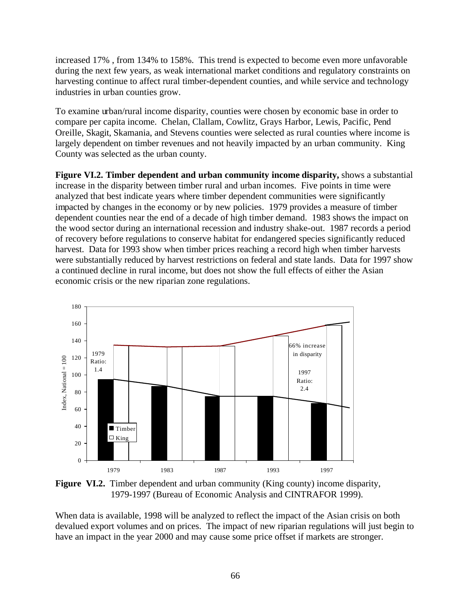increased 17% , from 134% to 158%. This trend is expected to become even more unfavorable during the next few years, as weak international market conditions and regulatory constraints on harvesting continue to affect rural timber-dependent counties, and while service and technology industries in urban counties grow.

To examine urban/rural income disparity, counties were chosen by economic base in order to compare per capita income. Chelan, Clallam, Cowlitz, Grays Harbor, Lewis, Pacific, Pend Oreille, Skagit, Skamania, and Stevens counties were selected as rural counties where income is largely dependent on timber revenues and not heavily impacted by an urban community. King County was selected as the urban county.

**Figure VI.2. Timber dependent and urban community income disparity,** shows a substantial increase in the disparity between timber rural and urban incomes. Five points in time were analyzed that best indicate years where timber dependent communities were significantly impacted by changes in the economy or by new policies. 1979 provides a measure of timber dependent counties near the end of a decade of high timber demand. 1983 shows the impact on the wood sector during an international recession and industry shake-out. 1987 records a period of recovery before regulations to conserve habitat for endangered species significantly reduced harvest. Data for 1993 show when timber prices reaching a record high when timber harvests were substantially reduced by harvest restrictions on federal and state lands. Data for 1997 show a continued decline in rural income, but does not show the full effects of either the Asian economic crisis or the new riparian zone regulations.



**Figure VI.2.** Timber dependent and urban community (King county) income disparity, 1979-1997 (Bureau of Economic Analysis and CINTRAFOR 1999).

When data is available, 1998 will be analyzed to reflect the impact of the Asian crisis on both devalued export volumes and on prices. The impact of new riparian regulations will just begin to have an impact in the year 2000 and may cause some price offset if markets are stronger.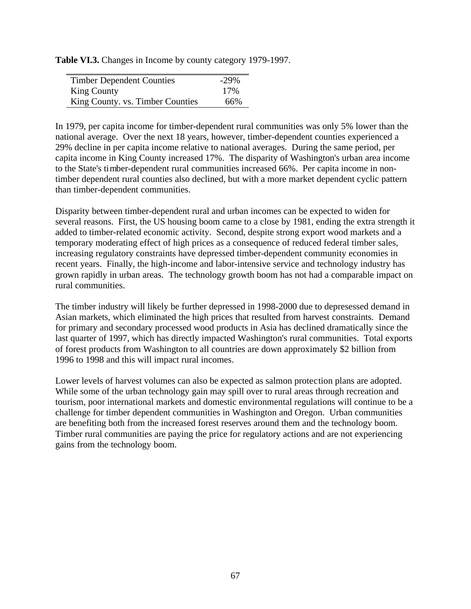**Table VI.3.** Changes in Income by county category 1979-1997.

| <b>Timber Dependent Counties</b> | $-29%$ |
|----------------------------------|--------|
| <b>King County</b>               | 17%    |
| King County. vs. Timber Counties | 66%    |

In 1979, per capita income for timber-dependent rural communities was only 5% lower than the national average. Over the next 18 years, however, timber-dependent counties experienced a 29% decline in per capita income relative to national averages. During the same period, per capita income in King County increased 17%. The disparity of Washington's urban area income to the State's timber-dependent rural communities increased 66%. Per capita income in nontimber dependent rural counties also declined, but with a more market dependent cyclic pattern than timber-dependent communities.

Disparity between timber-dependent rural and urban incomes can be expected to widen for several reasons. First, the US housing boom came to a close by 1981, ending the extra strength it added to timber-related economic activity. Second, despite strong export wood markets and a temporary moderating effect of high prices as a consequence of reduced federal timber sales, increasing regulatory constraints have depressed timber-dependent community economies in recent years. Finally, the high-income and labor-intensive service and technology industry has grown rapidly in urban areas. The technology growth boom has not had a comparable impact on rural communities.

The timber industry will likely be further depressed in 1998-2000 due to depresessed demand in Asian markets, which eliminated the high prices that resulted from harvest constraints. Demand for primary and secondary processed wood products in Asia has declined dramatically since the last quarter of 1997, which has directly impacted Washington's rural communities. Total exports of forest products from Washington to all countries are down approximately \$2 billion from 1996 to 1998 and this will impact rural incomes.

Lower levels of harvest volumes can also be expected as salmon protection plans are adopted. While some of the urban technology gain may spill over to rural areas through recreation and tourism, poor international markets and domestic environmental regulations will continue to be a challenge for timber dependent communities in Washington and Oregon. Urban communities are benefiting both from the increased forest reserves around them and the technology boom. Timber rural communities are paying the price for regulatory actions and are not experiencing gains from the technology boom.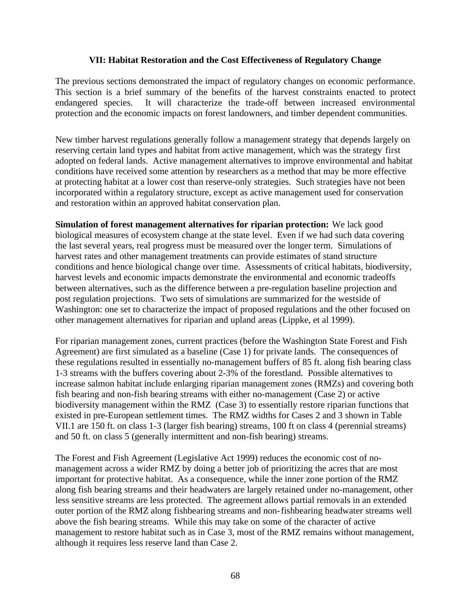### **VII: Habitat Restoration and the Cost Effectiveness of Regulatory Change**

The previous sections demonstrated the impact of regulatory changes on economic performance. This section is a brief summary of the benefits of the harvest constraints enacted to protect endangered species. It will characterize the trade-off between increased environmental protection and the economic impacts on forest landowners, and timber dependent communities.

New timber harvest regulations generally follow a management strategy that depends largely on reserving certain land types and habitat from active management, which was the strategy first adopted on federal lands. Active management alternatives to improve environmental and habitat conditions have received some attention by researchers as a method that may be more effective at protecting habitat at a lower cost than reserve-only strategies. Such strategies have not been incorporated within a regulatory structure, except as active management used for conservation and restoration within an approved habitat conservation plan.

**Simulation of forest management alternatives for riparian protection:** We lack good biological measures of ecosystem change at the state level. Even if we had such data covering the last several years, real progress must be measured over the longer term. Simulations of harvest rates and other management treatments can provide estimates of stand structure conditions and hence biological change over time. Assessments of critical habitats, biodiversity, harvest levels and economic impacts demonstrate the environmental and economic tradeoffs between alternatives, such as the difference between a pre-regulation baseline projection and post regulation projections. Two sets of simulations are summarized for the westside of Washington: one set to characterize the impact of proposed regulations and the other focused on other management alternatives for riparian and upland areas (Lippke, et al 1999).

For riparian management zones, current practices (before the Washington State Forest and Fish Agreement) are first simulated as a baseline (Case 1) for private lands. The consequences of these regulations resulted in essentially no-management buffers of 85 ft. along fish bearing class 1-3 streams with the buffers covering about 2-3% of the forestland. Possible alternatives to increase salmon habitat include enlarging riparian management zones (RMZs) and covering both fish bearing and non-fish bearing streams with either no-management (Case 2) or active biodiversity management within the RMZ (Case 3) to essentially restore riparian functions that existed in pre-European settlement times. The RMZ widths for Cases 2 and 3 shown in Table VII.1 are 150 ft. on class 1-3 (larger fish bearing) streams, 100 ft on class 4 (perennial streams) and 50 ft. on class 5 (generally intermittent and non-fish bearing) streams.

The Forest and Fish Agreement (Legislative Act 1999) reduces the economic cost of nomanagement across a wider RMZ by doing a better job of prioritizing the acres that are most important for protective habitat. As a consequence, while the inner zone portion of the RMZ along fish bearing streams and their headwaters are largely retained under no-management, other less sensitive streams are less protected. The agreement allows partial removals in an extended outer portion of the RMZ along fishbearing streams and non-fishbearing headwater streams well above the fish bearing streams. While this may take on some of the character of active management to restore habitat such as in Case 3, most of the RMZ remains without management, although it requires less reserve land than Case 2.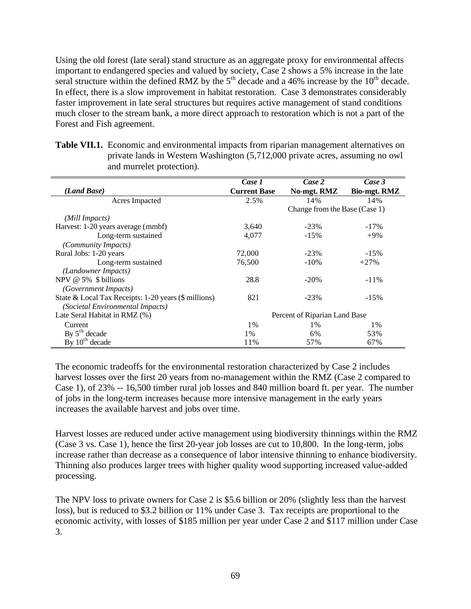Using the old forest (late seral) stand structure as an aggregate proxy for environmental affects important to endangered species and valued by society, Case 2 shows a 5% increase in the late seral structure within the defined RMZ by the  $5<sup>th</sup>$  decade and a 46% increase by the  $10<sup>th</sup>$  decade. In effect, there is a slow improvement in habitat restoration. Case 3 demonstrates considerably faster improvement in late seral structures but requires active management of stand conditions much closer to the stream bank, a more direct approach to restoration which is not a part of the Forest and Fish agreement.

|                                                      | Case 1              | Case 2                        | Case 3              |
|------------------------------------------------------|---------------------|-------------------------------|---------------------|
| (Land Base)                                          | <b>Current Base</b> | No-mgt. RMZ                   | <b>Bio-mgt. RMZ</b> |
| Acres Impacted                                       | 2.5%                | 14%                           | 14%                 |
|                                                      |                     | Change from the Base (Case 1) |                     |
| (Mill Impacts)                                       |                     |                               |                     |
| Harvest: 1-20 years average (mmbf)                   | 3,640               | $-23%$                        | $-17\%$             |
| Long-term sustained                                  | 4,077               | $-15%$                        | $+9%$               |
| (Community Impacts)                                  |                     |                               |                     |
| Rural Jobs: 1-20 years                               | 72,000              | $-23%$                        | $-15%$              |
| Long-term sustained                                  | 76.500              | $-10\%$                       | $+27%$              |
| (Landowner Impacts)                                  |                     |                               |                     |
| NPV $@$ 5% $$$ billions                              | 28.8                | $-20\%$                       | $-11\%$             |
| <i>(Government Impacts)</i>                          |                     |                               |                     |
| State & Local Tax Receipts: 1-20 years (\$ millions) | 821                 | $-23%$                        | $-15%$              |
| (Societal Environmental Impacts)                     |                     |                               |                     |
| Late Seral Habitat in RMZ (%)                        |                     | Percent of Riparian Land Base |                     |
| Current                                              | 1%                  | 1%                            | $1\%$               |
| By $5th$ decade                                      | 1%                  | 6%                            | 53%                 |
| By $10^{th}$ decade                                  | 11%                 | 57%                           | 67%                 |

**Table VII.1.** Economic and environmental impacts from riparian management alternatives on private lands in Western Washington (5,712,000 private acres, assuming no owl and murrelet protection).

The economic tradeoffs for the environmental restoration characterized by Case 2 includes harvest losses over the first 20 years from no-management within the RMZ (Case 2 compared to Case 1), of 23% -- 16,500 timber rural job losses and 840 million board ft. per year. The number of jobs in the long-term increases because more intensive management in the early years increases the available harvest and jobs over time.

Harvest losses are reduced under active management using biodiversity thinnings within the RMZ (Case 3 vs. Case 1), hence the first 20-year job losses are cut to 10,800. In the long-term, jobs increase rather than decrease as a consequence of labor intensive thinning to enhance biodiversity. Thinning also produces larger trees with higher quality wood supporting increased value-added processing.

The NPV loss to private owners for Case 2 is \$5.6 billion or 20% (slightly less than the harvest loss), but is reduced to \$3.2 billion or 11% under Case 3. Tax receipts are proportional to the economic activity, with losses of \$185 million per year under Case 2 and \$117 million under Case 3.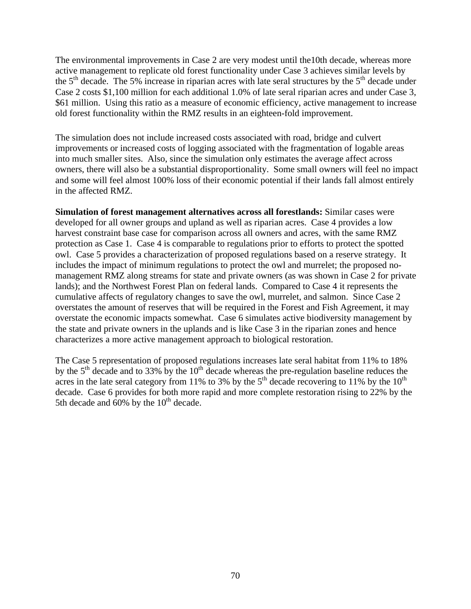The environmental improvements in Case 2 are very modest until the10th decade, whereas more active management to replicate old forest functionality under Case 3 achieves similar levels by the  $5<sup>th</sup>$  decade. The 5% increase in riparian acres with late seral structures by the  $5<sup>th</sup>$  decade under Case 2 costs \$1,100 million for each additional 1.0% of late seral riparian acres and under Case 3, \$61 million. Using this ratio as a measure of economic efficiency, active management to increase old forest functionality within the RMZ results in an eighteen-fold improvement.

The simulation does not include increased costs associated with road, bridge and culvert improvements or increased costs of logging associated with the fragmentation of logable areas into much smaller sites. Also, since the simulation only estimates the average affect across owners, there will also be a substantial disproportionality. Some small owners will feel no impact and some will feel almost 100% loss of their economic potential if their lands fall almost entirely in the affected RMZ.

**Simulation of forest management alternatives across all forestlands:** Similar cases were developed for all owner groups and upland as well as riparian acres. Case 4 provides a low harvest constraint base case for comparison across all owners and acres, with the same RMZ protection as Case 1. Case 4 is comparable to regulations prior to efforts to protect the spotted owl. Case 5 provides a characterization of proposed regulations based on a reserve strategy. It includes the impact of minimum regulations to protect the owl and murrelet; the proposed nomanagement RMZ along streams for state and private owners (as was shown in Case 2 for private lands); and the Northwest Forest Plan on federal lands. Compared to Case 4 it represents the cumulative affects of regulatory changes to save the owl, murrelet, and salmon. Since Case 2 overstates the amount of reserves that will be required in the Forest and Fish Agreement, it may overstate the economic impacts somewhat. Case 6 simulates active biodiversity management by the state and private owners in the uplands and is like Case 3 in the riparian zones and hence characterizes a more active management approach to biological restoration.

The Case 5 representation of proposed regulations increases late seral habitat from 11% to 18% by the  $5<sup>th</sup>$  decade and to 33% by the 10<sup>th</sup> decade whereas the pre-regulation baseline reduces the acres in the late seral category from 11% to 3% by the  $5<sup>th</sup>$  decade recovering to 11% by the  $10<sup>th</sup>$ decade. Case 6 provides for both more rapid and more complete restoration rising to 22% by the 5th decade and 60% by the  $10<sup>th</sup>$  decade.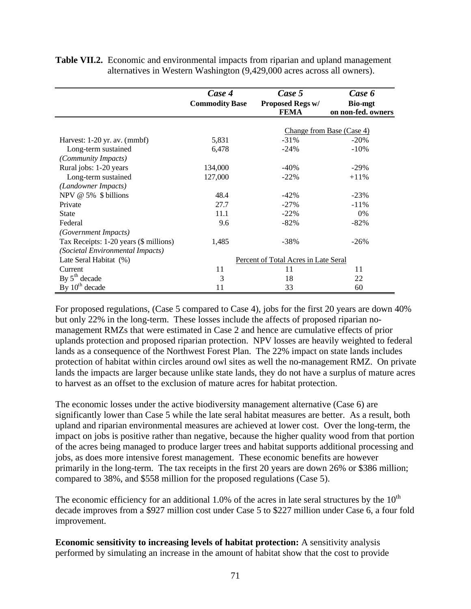|                                        | Case 4                | Case 5                               | Case 6                               |
|----------------------------------------|-----------------------|--------------------------------------|--------------------------------------|
|                                        | <b>Commodity Base</b> | Proposed Regs w/<br><b>FEMA</b>      | <b>Bio-mgt</b><br>on non-fed. owners |
|                                        |                       |                                      |                                      |
|                                        |                       |                                      | Change from Base (Case 4)            |
| Harvest: 1-20 yr. av. (mmbf)           | 5,831                 | $-31\%$                              | $-20%$                               |
| Long-term sustained                    | 6,478                 | $-24%$                               | $-10%$                               |
| (Community Impacts)                    |                       |                                      |                                      |
| Rural jobs: 1-20 years                 | 134,000               | $-40%$                               | $-29%$                               |
| Long-term sustained                    | 127,000               | $-22\%$                              | $+11\%$                              |
| (Landowner Impacts)                    |                       |                                      |                                      |
| NPV @ 5% \$ billions                   | 48.4                  | $-42%$                               | $-23%$                               |
| Private                                | 27.7                  | $-27\%$                              | $-11%$                               |
| <b>State</b>                           | 11.1                  | $-22\%$                              | 0%                                   |
| Federal                                | 9.6                   | $-82\%$                              | $-82%$                               |
| (Government Impacts)                   |                       |                                      |                                      |
| Tax Receipts: 1-20 years (\$ millions) | 1,485                 | $-38%$                               | $-26%$                               |
| (Societal Environmental Impacts)       |                       |                                      |                                      |
| Late Seral Habitat (%)                 |                       | Percent of Total Acres in Late Seral |                                      |
| Current                                | 11                    | 11                                   | 11                                   |
| By $5th$ decade                        | 3                     | 18                                   | 22                                   |
| By $10^{th}$ decade                    | 11                    | 33                                   | 60                                   |

**Table VII.2.** Economic and environmental impacts from riparian and upland management alternatives in Western Washington (9,429,000 acres across all owners).

For proposed regulations, (Case 5 compared to Case 4), jobs for the first 20 years are down 40% but only 22% in the long-term. These losses include the affects of proposed riparian nomanagement RMZs that were estimated in Case 2 and hence are cumulative effects of prior uplands protection and proposed riparian protection. NPV losses are heavily weighted to federal lands as a consequence of the Northwest Forest Plan. The 22% impact on state lands includes protection of habitat within circles around owl sites as well the no-management RMZ. On private lands the impacts are larger because unlike state lands, they do not have a surplus of mature acres to harvest as an offset to the exclusion of mature acres for habitat protection.

The economic losses under the active biodiversity management alternative (Case 6) are significantly lower than Case 5 while the late seral habitat measures are better. As a result, both upland and riparian environmental measures are achieved at lower cost. Over the long-term, the impact on jobs is positive rather than negative, because the higher quality wood from that portion of the acres being managed to produce larger trees and habitat supports additional processing and jobs, as does more intensive forest management. These economic benefits are however primarily in the long-term. The tax receipts in the first 20 years are down 26% or \$386 million; compared to 38%, and \$558 million for the proposed regulations (Case 5).

The economic efficiency for an additional 1.0% of the acres in late seral structures by the  $10<sup>th</sup>$ decade improves from a \$927 million cost under Case 5 to \$227 million under Case 6, a four fold improvement.

**Economic sensitivity to increasing levels of habitat protection:** A sensitivity analysis performed by simulating an increase in the amount of habitat show that the cost to provide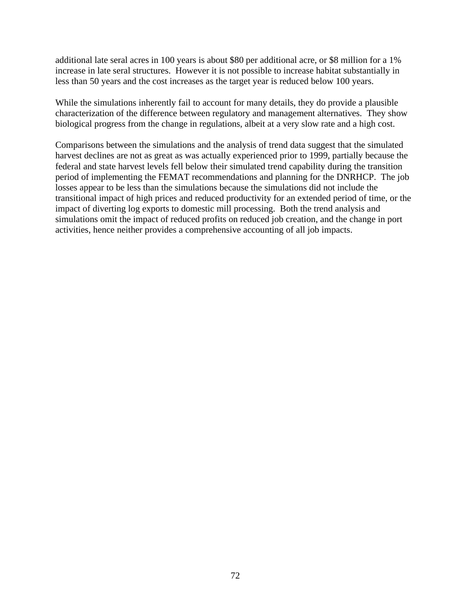additional late seral acres in 100 years is about \$80 per additional acre, or \$8 million for a 1% increase in late seral structures. However it is not possible to increase habitat substantially in less than 50 years and the cost increases as the target year is reduced below 100 years.

While the simulations inherently fail to account for many details, they do provide a plausible characterization of the difference between regulatory and management alternatives. They show biological progress from the change in regulations, albeit at a very slow rate and a high cost.

Comparisons between the simulations and the analysis of trend data suggest that the simulated harvest declines are not as great as was actually experienced prior to 1999, partially because the federal and state harvest levels fell below their simulated trend capability during the transition period of implementing the FEMAT recommendations and planning for the DNRHCP. The job losses appear to be less than the simulations because the simulations did not include the transitional impact of high prices and reduced productivity for an extended period of time, or the impact of diverting log exports to domestic mill processing. Both the trend analysis and simulations omit the impact of reduced profits on reduced job creation, and the change in port activities, hence neither provides a comprehensive accounting of all job impacts.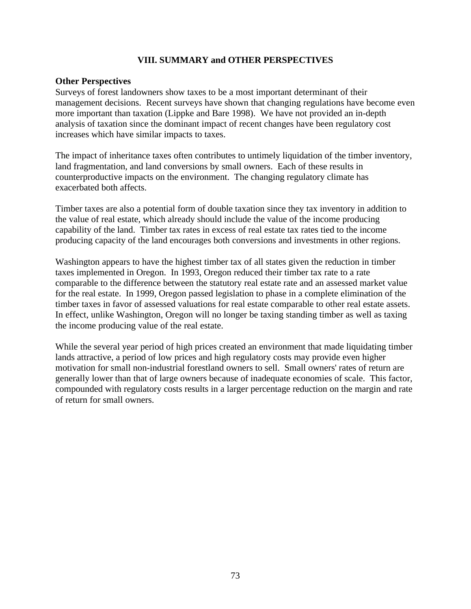### **VIII. SUMMARY and OTHER PERSPECTIVES**

#### **Other Perspectives**

Surveys of forest landowners show taxes to be a most important determinant of their management decisions. Recent surveys have shown that changing regulations have become even more important than taxation (Lippke and Bare 1998). We have not provided an in-depth analysis of taxation since the dominant impact of recent changes have been regulatory cost increases which have similar impacts to taxes.

The impact of inheritance taxes often contributes to untimely liquidation of the timber inventory, land fragmentation, and land conversions by small owners. Each of these results in counterproductive impacts on the environment. The changing regulatory climate has exacerbated both affects.

Timber taxes are also a potential form of double taxation since they tax inventory in addition to the value of real estate, which already should include the value of the income producing capability of the land. Timber tax rates in excess of real estate tax rates tied to the income producing capacity of the land encourages both conversions and investments in other regions.

Washington appears to have the highest timber tax of all states given the reduction in timber taxes implemented in Oregon. In 1993, Oregon reduced their timber tax rate to a rate comparable to the difference between the statutory real estate rate and an assessed market value for the real estate. In 1999, Oregon passed legislation to phase in a complete elimination of the timber taxes in favor of assessed valuations for real estate comparable to other real estate assets. In effect, unlike Washington, Oregon will no longer be taxing standing timber as well as taxing the income producing value of the real estate.

While the several year period of high prices created an environment that made liquidating timber lands attractive, a period of low prices and high regulatory costs may provide even higher motivation for small non-industrial forestland owners to sell. Small owners' rates of return are generally lower than that of large owners because of inadequate economies of scale. This factor, compounded with regulatory costs results in a larger percentage reduction on the margin and rate of return for small owners.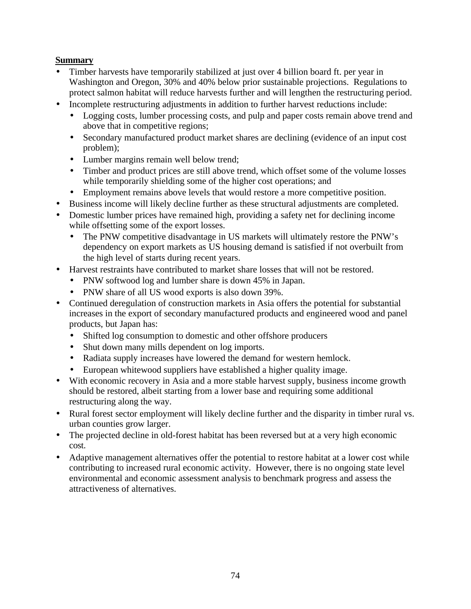# **Summary**

- Timber harvests have temporarily stabilized at just over 4 billion board ft. per year in Washington and Oregon, 30% and 40% below prior sustainable projections. Regulations to protect salmon habitat will reduce harvests further and will lengthen the restructuring period.
- Incomplete restructuring adjustments in addition to further harvest reductions include:
	- Logging costs, lumber processing costs, and pulp and paper costs remain above trend and above that in competitive regions;
	- Secondary manufactured product market shares are declining (evidence of an input cost problem);
	- Lumber margins remain well below trend;
	- Timber and product prices are still above trend, which offset some of the volume losses while temporarily shielding some of the higher cost operations; and
	- Employment remains above levels that would restore a more competitive position.
- Business income will likely decline further as these structural adjustments are completed.
- Domestic lumber prices have remained high, providing a safety net for declining income while offsetting some of the export losses.
	- The PNW competitive disadvantage in US markets will ultimately restore the PNW's dependency on export markets as US housing demand is satisfied if not overbuilt from the high level of starts during recent years.
- Harvest restraints have contributed to market share losses that will not be restored.
	- PNW softwood log and lumber share is down 45% in Japan.
	- PNW share of all US wood exports is also down 39%.
- Continued deregulation of construction markets in Asia offers the potential for substantial increases in the export of secondary manufactured products and engineered wood and panel products, but Japan has:
	- Shifted log consumption to domestic and other offshore producers
	- Shut down many mills dependent on log imports.
	- Radiata supply increases have lowered the demand for western hemlock.
	- European whitewood suppliers have established a higher quality image.
- With economic recovery in Asia and a more stable harvest supply, business income growth should be restored, albeit starting from a lower base and requiring some additional restructuring along the way.
- Rural forest sector employment will likely decline further and the disparity in timber rural vs. urban counties grow larger.
- The projected decline in old-forest habitat has been reversed but at a very high economic cost.
- Adaptive management alternatives offer the potential to restore habitat at a lower cost while contributing to increased rural economic activity. However, there is no ongoing state level environmental and economic assessment analysis to benchmark progress and assess the attractiveness of alternatives.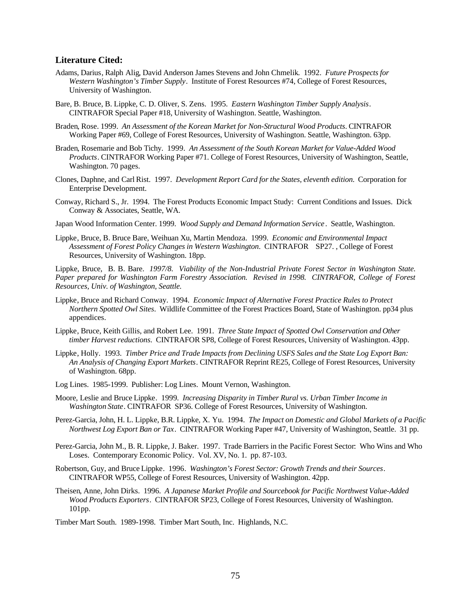#### **Literature Cited:**

- Adams, Darius, Ralph Alig, David Anderson James Stevens and John Chmelik. 1992. *Future Prospects for Western Washington's Timber Supply*. Institute of Forest Resources #74, College of Forest Resources, University of Washington.
- Bare, B. Bruce, B. Lippke, C. D. Oliver, S. Zens. 1995. *Eastern Washington Timber Supply Analysis*. CINTRAFOR Special Paper #18, University of Washington. Seattle, Washington.
- Braden, Rose. 1999. *An Assessment of the Korean Market for Non-Structural Wood Products*. CINTRAFOR Working Paper #69, College of Forest Resources, University of Washington. Seattle, Washington. 63pp.
- Braden, Rosemarie and Bob Tichy. 1999. *An Assessment of the South Korean Market for Value-Added Wood Products*. CINTRAFOR Working Paper #71. College of Forest Resources, University of Washington, Seattle, Washington. 70 pages.
- Clones, Daphne, and Carl Rist. 1997. *Development Report Card for the States, eleventh edition.* Corporation for Enterprise Development.
- Conway, Richard S., Jr. 1994. The Forest Products Economic Impact Study: Current Conditions and Issues. Dick Conway & Associates, Seattle, WA.
- Japan Wood Information Center. 1999. *Wood Supply and Demand Information Service*. Seattle, Washington.
- Lippke, Bruce, B. Bruce Bare, Weihuan Xu, Martin Mendoza. 1999. *Economic and Environmental Impact Assessment of Forest Policy Changes in Western Washington*. CINTRAFOR SP27. , College of Forest Resources, University of Washington. 18pp.

Lippke, Bruce, B. B. Bare. *1997/8. Viability of the Non-Industrial Private Forest Sector in Washington State. Paper prepared for Washington Farm Forestry Association. Revised in 1998. CINTRAFOR, College of Forest Resources, Univ. of Washington, Seattle.*

- Lippke, Bruce and Richard Conway. 1994. *Economic Impact of Alternative Forest Practice Rules to Protect Northern Spotted Owl Sites*. Wildlife Committee of the Forest Practices Board, State of Washington. pp34 plus appendices.
- Lippke, Bruce, Keith Gillis, and Robert Lee. 1991. *Three State Impact of Spotted Owl Conservation and Other timber Harvest reductions*. CINTRAFOR SP8, College of Forest Resources, University of Washington. 43pp.
- Lippke, Holly. 1993. *Timber Price and Trade Impacts from Declining USFS Sales and the State Log Export Ban: An Analysis of Changing Export Markets*. CINTRAFOR Reprint RE25, College of Forest Resources, University of Washington. 68pp.
- Log Lines. 1985-1999. Publisher: Log Lines. Mount Vernon, Washington.
- Moore, Leslie and Bruce Lippke. 1999*. Increasing Disparity in Timber Rural vs. Urban Timber Income in Washington State*. CINTRAFOR SP36. College of Forest Resources, University of Washington.
- Perez-Garcia, John, H. L. Lippke, B.R. Lippke, X. Yu. 1994. *The Impact on Domestic and Global Markets of a Pacific Northwest Log Export Ban or Tax*. CINTRAFOR Working Paper #47, University of Washington, Seattle. 31 pp.
- Perez-Garcia, John M., B. R. Lippke, J. Baker. 1997. Trade Barriers in the Pacific Forest Sector: Who Wins and Who Loses. Contemporary Economic Policy. Vol. XV, No. 1. pp. 87-103.
- Robertson, Guy, and Bruce Lippke. 1996*. Washington's Forest Sector: Growth Trends and their Sources*. CINTRAFOR WP55, College of Forest Resources, University of Washington. 42pp.
- Theisen, Anne, John Dirks. 1996. *A Japanese Market Profile and Sourcebook for Pacific Northwest Value-Added Wood Products Exporters*. CINTRAFOR SP23, College of Forest Resources, University of Washington. 101pp.

Timber Mart South. 1989-1998. Timber Mart South, Inc. Highlands, N.C.